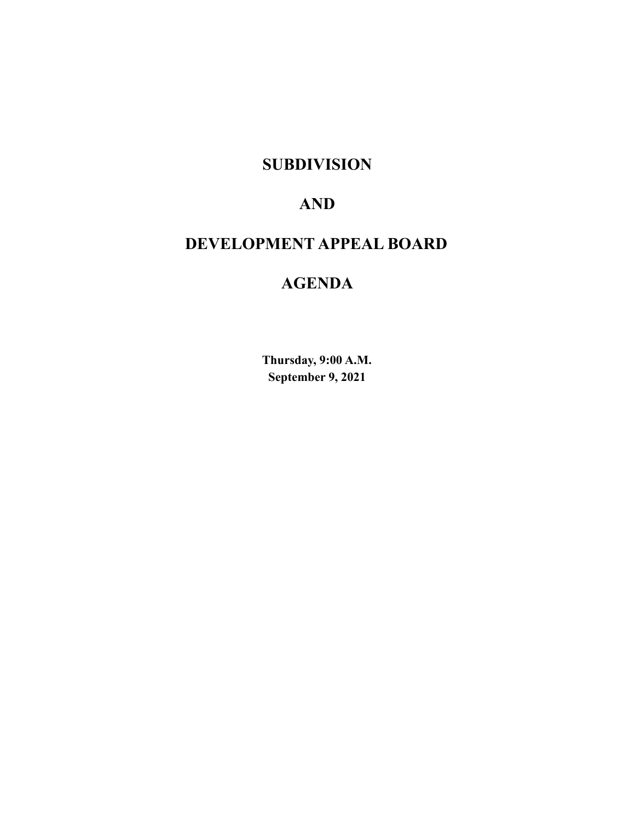# **SUBDIVISION**

# **AND**

# **DEVELOPMENT APPEAL BOARD**

# **AGENDA**

**Thursday, 9:00 A.M. September 9, 2021**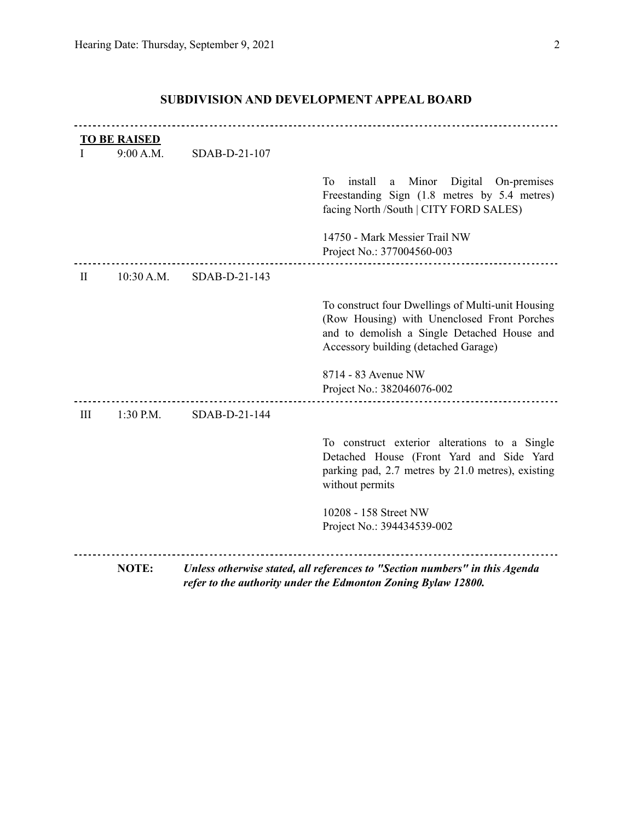|           | <b>TO BE RAISED</b><br>9:00 A.M. | SDAB-D-21-107 |                                                                                                                                                                                         |
|-----------|----------------------------------|---------------|-----------------------------------------------------------------------------------------------------------------------------------------------------------------------------------------|
|           |                                  |               | install<br>Minor<br>Digital On-premises<br>To<br>a<br>Freestanding Sign (1.8 metres by 5.4 metres)<br>facing North /South   CITY FORD SALES)                                            |
|           |                                  |               | 14750 - Mark Messier Trail NW<br>Project No.: 377004560-003                                                                                                                             |
| $\rm{II}$ | 10:30 A.M.                       | SDAB-D-21-143 |                                                                                                                                                                                         |
|           |                                  |               | To construct four Dwellings of Multi-unit Housing<br>(Row Housing) with Unenclosed Front Porches<br>and to demolish a Single Detached House and<br>Accessory building (detached Garage) |
|           |                                  |               | 8714 - 83 Avenue NW<br>Project No.: 382046076-002                                                                                                                                       |
| III       | 1:30 P.M.                        | SDAB-D-21-144 |                                                                                                                                                                                         |
|           |                                  |               | To construct exterior alterations to a Single<br>Detached House (Front Yard and Side Yard<br>parking pad, 2.7 metres by 21.0 metres), existing<br>without permits                       |
|           |                                  |               | 10208 - 158 Street NW<br>Project No.: 394434539-002                                                                                                                                     |
|           | <b>NOTE:</b>                     |               | Unless otherwise stated, all references to "Section numbers" in this Agenda<br>refer to the authority under the Edmonton Zoning Bylaw 12800.                                            |

# **SUBDIVISION AND DEVELOPMENT APPEAL BOARD**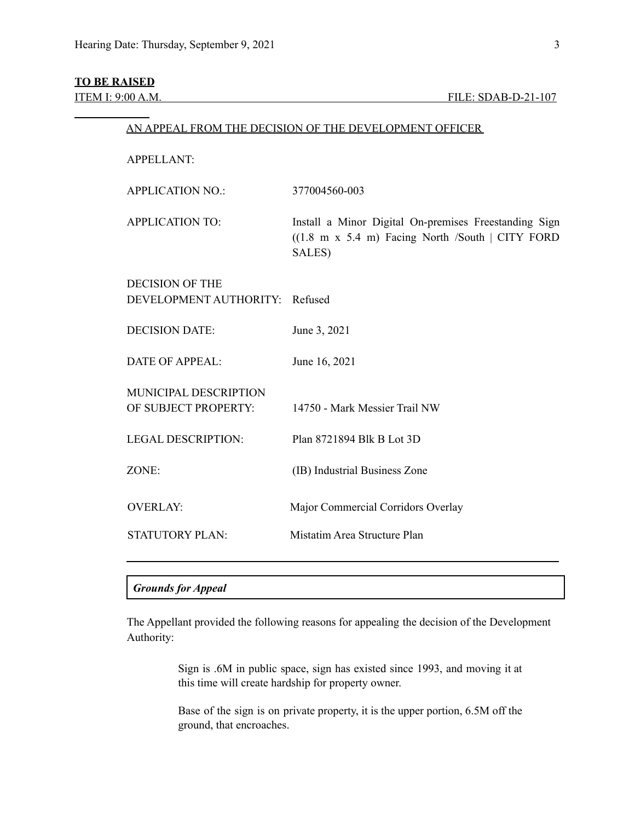# **TO BE RAISED**

| <b>APPELLANT:</b>                                |                                                                                                                                        |
|--------------------------------------------------|----------------------------------------------------------------------------------------------------------------------------------------|
| <b>APPLICATION NO.:</b>                          | 377004560-003                                                                                                                          |
| <b>APPLICATION TO:</b>                           | Install a Minor Digital On-premises Freestanding Sign<br>$((1.8 \text{ m x } 5.4 \text{ m})$ Facing North /South   CITY FORD<br>SALES) |
| <b>DECISION OF THE</b><br>DEVELOPMENT AUTHORITY: | Refused                                                                                                                                |
| <b>DECISION DATE:</b>                            | June 3, 2021                                                                                                                           |
| <b>DATE OF APPEAL:</b>                           | June 16, 2021                                                                                                                          |
| MUNICIPAL DESCRIPTION<br>OF SUBJECT PROPERTY:    | 14750 - Mark Messier Trail NW                                                                                                          |
| <b>LEGAL DESCRIPTION:</b>                        | Plan 8721894 Blk B Lot 3D                                                                                                              |
| ZONE:                                            | (IB) Industrial Business Zone                                                                                                          |
| <b>OVERLAY:</b>                                  | Major Commercial Corridors Overlay                                                                                                     |
| <b>STATUTORY PLAN:</b>                           | Mistatim Area Structure Plan                                                                                                           |
|                                                  |                                                                                                                                        |

AN APPEAL FROM THE DECISION OF THE DEVELOPMENT OFFICER

## *Grounds for Appeal*

The Appellant provided the following reasons for appealing the decision of the Development Authority:

> Sign is .6M in public space, sign has existed since 1993, and moving it at this time will create hardship for property owner.

> Base of the sign is on private property, it is the upper portion, 6.5M off the ground, that encroaches.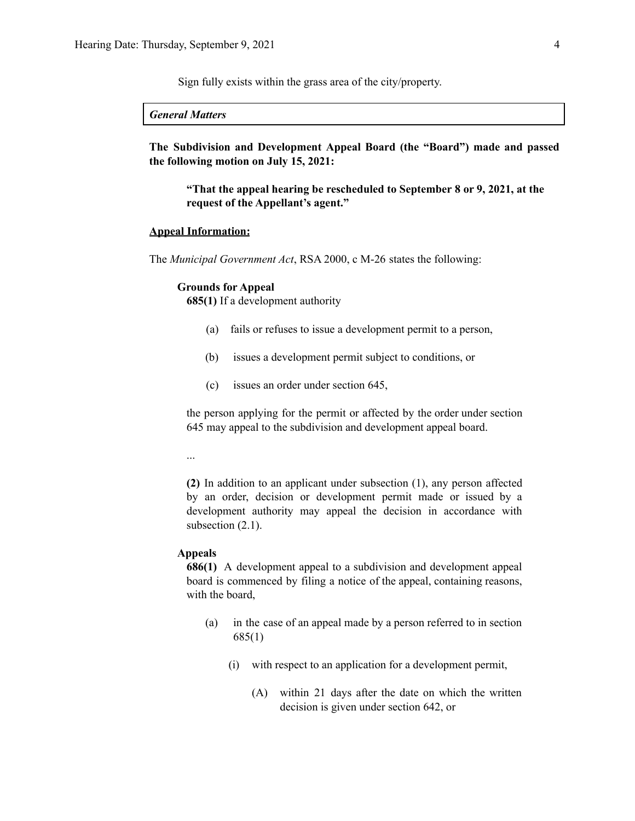Sign fully exists within the grass area of the city/property.

*General Matters*

**The Subdivision and Development Appeal Board (the "Board") made and passed the following motion on July 15, 2021:**

**"That the appeal hearing be rescheduled to September 8 or 9, 2021, at the request of the Appellant's agent."**

#### **Appeal Information:**

The *Municipal Government Act*, RSA 2000, c M-26 states the following:

#### **Grounds for Appeal**

**685(1)** If a development authority

- (a) fails or refuses to issue a development permit to a person,
- (b) issues a development permit subject to conditions, or
- (c) issues an order under section 645,

the person applying for the permit or affected by the order under section 645 may appeal to the subdivision and development appeal board.

...

**(2)** In addition to an applicant under subsection (1), any person affected by an order, decision or development permit made or issued by a development authority may appeal the decision in accordance with subsection  $(2.1)$ .

#### **Appeals**

**686(1)** A development appeal to a subdivision and development appeal board is commenced by filing a notice of the appeal, containing reasons, with the board,

- (a) in the case of an appeal made by a person referred to in section 685(1)
	- (i) with respect to an application for a development permit,
		- (A) within 21 days after the date on which the written decision is given under section 642, or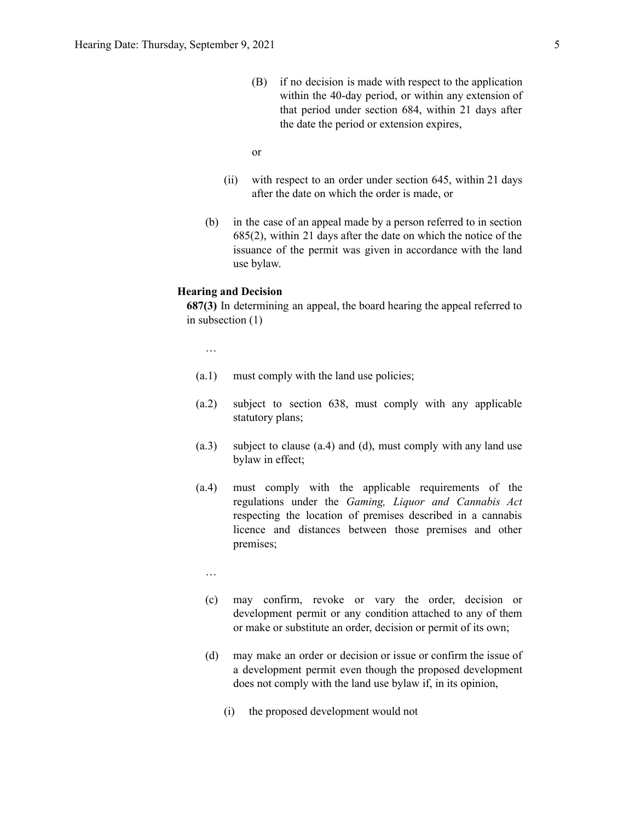- (B) if no decision is made with respect to the application within the 40-day period, or within any extension of that period under section 684, within 21 days after the date the period or extension expires,
- or
- (ii) with respect to an order under section 645, within 21 days after the date on which the order is made, or
- (b) in the case of an appeal made by a person referred to in section 685(2), within 21 days after the date on which the notice of the issuance of the permit was given in accordance with the land use bylaw.

#### **Hearing and Decision**

**687(3)** In determining an appeal, the board hearing the appeal referred to in subsection (1)

…

- (a.1) must comply with the land use policies;
- (a.2) subject to section 638, must comply with any applicable statutory plans;
- (a.3) subject to clause (a.4) and (d), must comply with any land use bylaw in effect;
- (a.4) must comply with the applicable requirements of the regulations under the *Gaming, Liquor and Cannabis Act* respecting the location of premises described in a cannabis licence and distances between those premises and other premises;
	- …
	- (c) may confirm, revoke or vary the order, decision or development permit or any condition attached to any of them or make or substitute an order, decision or permit of its own;
	- (d) may make an order or decision or issue or confirm the issue of a development permit even though the proposed development does not comply with the land use bylaw if, in its opinion,
		- (i) the proposed development would not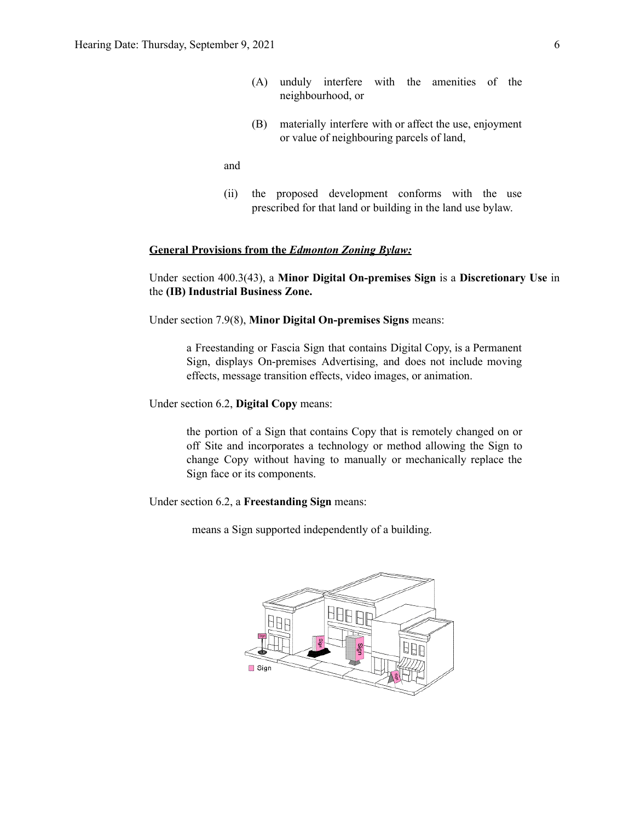- (A) unduly interfere with the amenities of the neighbourhood, or
- (B) materially interfere with or affect the use, enjoyment or value of neighbouring parcels of land,

and

(ii) the proposed development conforms with the use prescribed for that land or building in the land use bylaw.

#### **General Provisions from the** *Edmonton Zoning Bylaw:*

Under section 400.3(43), a **Minor Digital On-premises Sign** is a **Discretionary Use** in the **(IB) Industrial Business Zone.**

Under section 7.9(8), **Minor Digital On-premises Signs** means:

a Freestanding or Fascia Sign that contains Digital Copy, is a Permanent Sign, displays On-premises Advertising, and does not include moving effects, message transition effects, video images, or animation.

Under section 6.2, **Digital Copy** means:

the portion of a Sign that contains Copy that is remotely changed on or off Site and incorporates a technology or method allowing the Sign to change Copy without having to manually or mechanically replace the Sign face or its components.

Under section 6.2, a **Freestanding Sign** means:

means a Sign supported independently of a building.

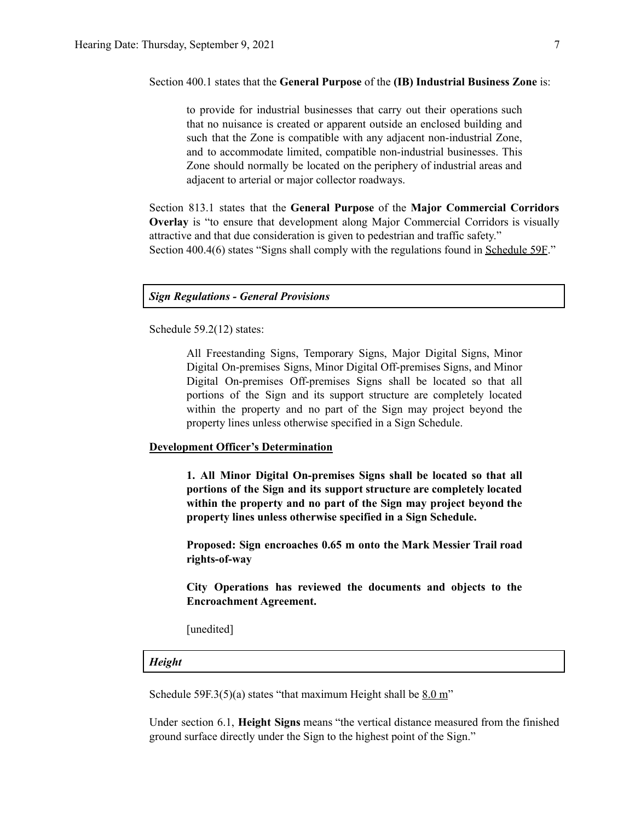Section 400.1 states that the **General Purpose** of the **(IB) Industrial Business Zone** is:

to provide for industrial businesses that carry out their operations such that no nuisance is created or apparent outside an enclosed building and such that the Zone is compatible with any adjacent non-industrial Zone, and to accommodate limited, compatible non-industrial businesses. This Zone should normally be located on the periphery of industrial areas and adjacent to arterial or major collector roadways.

Section 813.1 states that the **General Purpose** of the **Major Commercial Corridors Overlay** is "to ensure that development along Major Commercial Corridors is visually attractive and that due consideration is given to pedestrian and traffic safety." Section 400.4(6) states "Signs shall comply with the regulations found in Schedule 59F."

#### *Sign Regulations - General Provisions*

Schedule 59.2(12) states:

All Freestanding Signs, Temporary Signs, Major Digital Signs, Minor Digital On-premises Signs, Minor Digital Off-premises Signs, and Minor Digital On-premises Off-premises Signs shall be located so that all portions of the Sign and its support structure are completely located within the property and no part of the Sign may project beyond the property lines unless otherwise specified in a Sign Schedule.

#### **Development Officer's Determination**

**1. All Minor Digital On-premises Signs shall be located so that all portions of the Sign and its support structure are completely located within the property and no part of the Sign may project beyond the property lines unless otherwise specified in a Sign Schedule.**

**Proposed: Sign encroaches 0.65 m onto the Mark Messier Trail road rights-of-way**

**City Operations has reviewed the documents and objects to the Encroachment Agreement.**

[unedited]

#### *Height*

Schedule 59F.3(5)(a) states "that maximum Height shall be  $8.0 \text{ m}$ "

Under section 6.1, **Height Signs** means "the vertical distance measured from the finished ground surface directly under the Sign to the highest point of the Sign."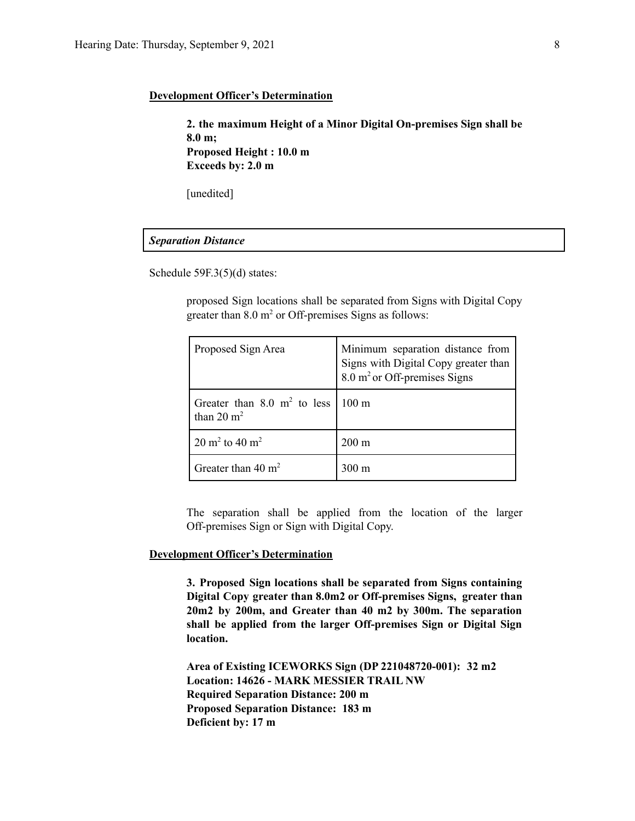#### **Development Officer's Determination**

**2. the maximum Height of a Minor Digital On-premises Sign shall be 8.0 m; Proposed Height : 10.0 m Exceeds by: 2.0 m**

[unedited]

#### *Separation Distance*

Schedule 59F.3(5)(d) states:

proposed Sign locations shall be separated from Signs with Digital Copy greater than  $8.0 \text{ m}^2$  or Off-premises Signs as follows:

| Proposed Sign Area                                     | Minimum separation distance from<br>Signs with Digital Copy greater than<br>$8.0 \text{ m}^2$ or Off-premises Signs |
|--------------------------------------------------------|---------------------------------------------------------------------------------------------------------------------|
| Greater than $8.0 \text{ m}^2$ to less<br>than 20 $m2$ | $1100 \text{ m}$                                                                                                    |
| 20 m <sup>2</sup> to 40 m <sup>2</sup>                 | $200 \text{ m}$                                                                                                     |
| Greater than $40 \text{ m}^2$                          | 300 m                                                                                                               |

The separation shall be applied from the location of the larger Off-premises Sign or Sign with Digital Copy.

#### **Development Officer's Determination**

**3. Proposed Sign locations shall be separated from Signs containing Digital Copy greater than 8.0m2 or Off-premises Signs, greater than 20m2 by 200m, and Greater than 40 m2 by 300m. The separation shall be applied from the larger Off-premises Sign or Digital Sign location.**

**Area of Existing ICEWORKS Sign (DP 221048720-001): 32 m2 Location: 14626 - MARK MESSIER TRAIL NW Required Separation Distance: 200 m Proposed Separation Distance: 183 m Deficient by: 17 m**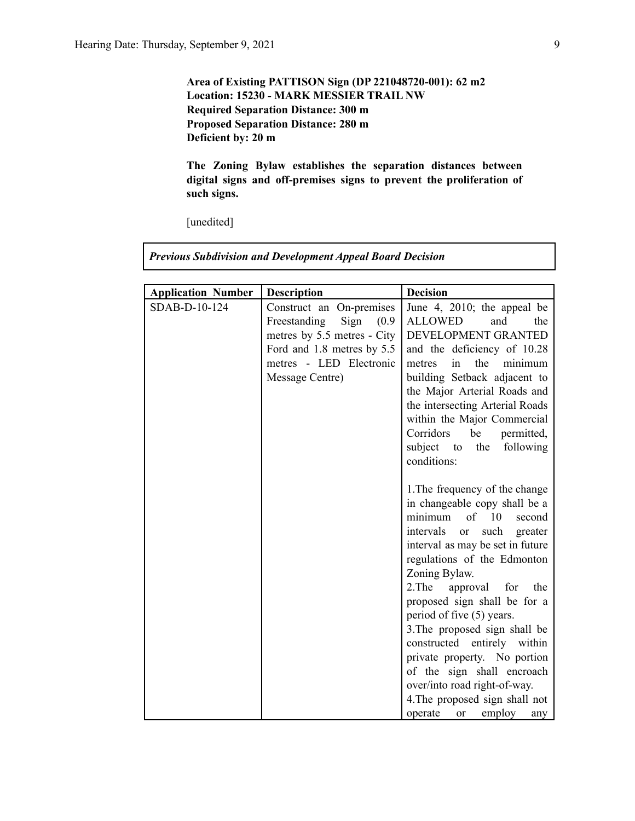## **Area of Existing PATTISON Sign (DP 221048720-001): 62 m2 Location: 15230 - MARK MESSIER TRAIL NW Required Separation Distance: 300 m Proposed Separation Distance: 280 m Deficient by: 20 m**

**The Zoning Bylaw establishes the separation distances between digital signs and off-premises signs to prevent the proliferation of such signs.**

[unedited]

*Previous Subdivision and Development Appeal Board Decision*

| <b>Application Number</b> | <b>Description</b>            | <b>Decision</b>                           |
|---------------------------|-------------------------------|-------------------------------------------|
| SDAB-D-10-124             | Construct an On-premises      | June 4, 2010; the appeal be               |
|                           | Freestanding<br>Sign<br>(0.9) | <b>ALLOWED</b><br>and<br>the              |
|                           | metres by 5.5 metres - City   | DEVELOPMENT GRANTED                       |
|                           | Ford and 1.8 metres by 5.5    | and the deficiency of 10.28               |
|                           | metres - LED Electronic       | in<br>the<br>minimum<br>metres            |
|                           | Message Centre)               | building Setback adjacent to              |
|                           |                               | the Major Arterial Roads and              |
|                           |                               | the intersecting Arterial Roads           |
|                           |                               | within the Major Commercial               |
|                           |                               | Corridors<br>be<br>permitted,             |
|                           |                               | subject to<br>the<br>following            |
|                           |                               | conditions:                               |
|                           |                               | 1. The frequency of the change            |
|                           |                               | in changeable copy shall be a             |
|                           |                               | of 10<br>minimum<br>second                |
|                           |                               | intervals<br>such<br>or<br>greater        |
|                           |                               | interval as may be set in future          |
|                           |                               | regulations of the Edmonton               |
|                           |                               | Zoning Bylaw.                             |
|                           |                               | 2. The<br>approval<br>for<br>the          |
|                           |                               | proposed sign shall be for a              |
|                           |                               | period of five (5) years.                 |
|                           |                               | 3. The proposed sign shall be             |
|                           |                               | constructed entirely within               |
|                           |                               | private property. No portion              |
|                           |                               | of the sign shall encroach                |
|                           |                               | over/into road right-of-way.              |
|                           |                               | 4. The proposed sign shall not            |
|                           |                               | employ<br>operate<br><sub>or</sub><br>any |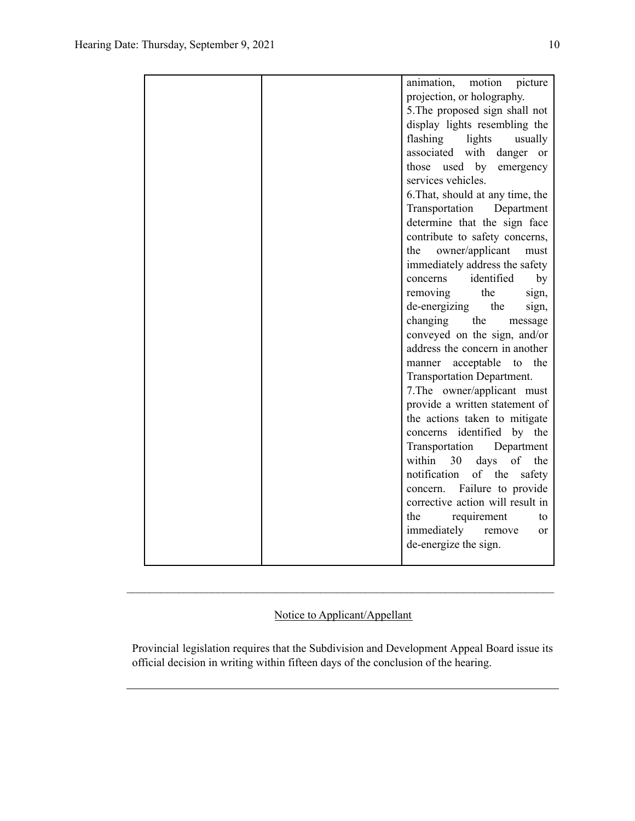|  | animation,<br>motion<br>picture        |
|--|----------------------------------------|
|  | projection, or holography.             |
|  | 5. The proposed sign shall not         |
|  | display lights resembling the          |
|  | flashing<br>lights<br>usually          |
|  | associated with<br>danger or           |
|  | used by<br>those<br>emergency          |
|  | services vehicles.                     |
|  | 6. That, should at any time, the       |
|  | Transportation<br>Department           |
|  | determine that the sign face           |
|  | contribute to safety concerns,         |
|  | owner/applicant<br>the<br>must         |
|  | immediately address the safety         |
|  | identified<br>concerns<br>by           |
|  | the<br>removing<br>sign,               |
|  | de-energizing<br>the<br>sign,          |
|  | changing<br>the<br>message             |
|  | conveyed on the sign, and/or           |
|  | address the concern in another         |
|  | the<br>acceptable<br>manner<br>to      |
|  | Transportation Department.             |
|  | 7. The owner/applicant must            |
|  | provide a written statement of         |
|  | the actions taken to mitigate          |
|  | concerns identified<br>by the          |
|  | Transportation<br>Department           |
|  | within<br>30<br>days<br>of<br>the      |
|  | notification<br>of the<br>safety       |
|  | concern. Failure to provide            |
|  | corrective action will result in       |
|  | requirement<br>the<br>to               |
|  | immediately<br>remove<br><sub>or</sub> |
|  | de-energize the sign.                  |
|  |                                        |

## Notice to Applicant/Appellant

 $\mathcal{L}_\text{max} = \frac{1}{2} \sum_{i=1}^n \mathcal{L}_\text{max} = \frac{1}{2} \sum_{i=1}^n \mathcal{L}_\text{max} = \frac{1}{2} \sum_{i=1}^n \mathcal{L}_\text{max} = \frac{1}{2} \sum_{i=1}^n \mathcal{L}_\text{max} = \frac{1}{2} \sum_{i=1}^n \mathcal{L}_\text{max} = \frac{1}{2} \sum_{i=1}^n \mathcal{L}_\text{max} = \frac{1}{2} \sum_{i=1}^n \mathcal{L}_\text{max} = \frac{1}{2} \sum_{i=$ 

Provincial legislation requires that the Subdivision and Development Appeal Board issue its official decision in writing within fifteen days of the conclusion of the hearing.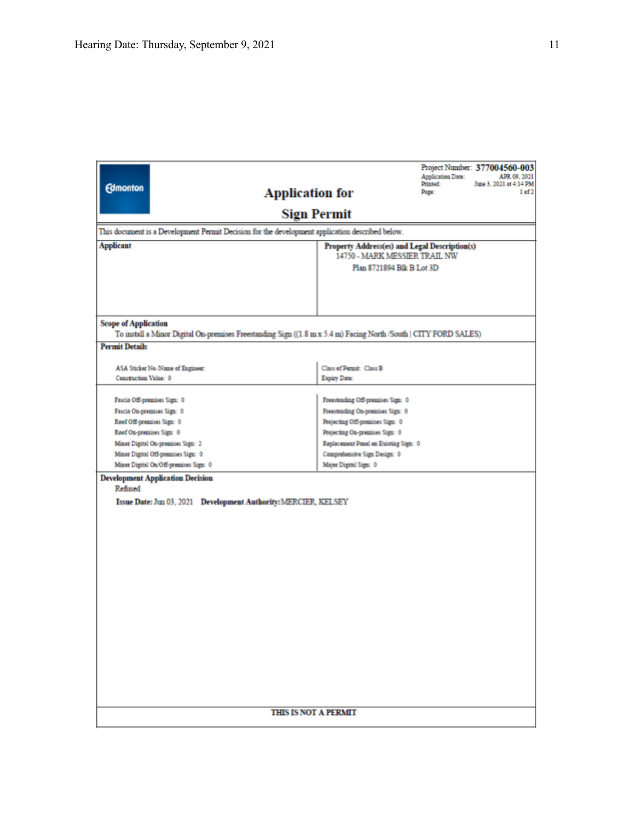|                                                                                                                  |                                                                                | <b>Application Date:</b><br>Printed: | Project Number: 377004560-003<br>APR 09, 2021<br>June 3, 2021 at 4:14 PM |  |  |
|------------------------------------------------------------------------------------------------------------------|--------------------------------------------------------------------------------|--------------------------------------|--------------------------------------------------------------------------|--|--|
| <b>Edmonton</b><br><b>Application for</b>                                                                        |                                                                                | Page:                                | 1 of 2                                                                   |  |  |
|                                                                                                                  | <b>Sign Permit</b>                                                             |                                      |                                                                          |  |  |
| This document is a Development Permit Decision for the development application described below.                  |                                                                                |                                      |                                                                          |  |  |
| <b>Applicant</b>                                                                                                 | Property Address(es) and Legal Description(s)<br>14750 - MARK MESSIER TRAIL NW |                                      |                                                                          |  |  |
|                                                                                                                  | Plan 8721894 Blk B Lot 3D                                                      |                                      |                                                                          |  |  |
|                                                                                                                  |                                                                                |                                      |                                                                          |  |  |
|                                                                                                                  |                                                                                |                                      |                                                                          |  |  |
|                                                                                                                  |                                                                                |                                      |                                                                          |  |  |
| <b>Scope of Application</b>                                                                                      |                                                                                |                                      |                                                                          |  |  |
| To install a Minor Digital On-premises Freestanding Sign ((1.8 m x 5.4 m) Facing North /South   CITY FORD SALES) |                                                                                |                                      |                                                                          |  |  |
| <b>Permit Details</b>                                                                                            |                                                                                |                                      |                                                                          |  |  |
| ASA Sticker No./Name of Engineer:                                                                                | Class of Permit: Class B                                                       |                                      |                                                                          |  |  |
| Construction Value: 0                                                                                            | Expiry Date:                                                                   |                                      |                                                                          |  |  |
| Fascia Off-premises Sign: 0                                                                                      | Freestanding Off-premises Sign: 0                                              |                                      |                                                                          |  |  |
| Fascia On-premises Sign: 0                                                                                       | Freestanding On-premises Sign: 0                                               |                                      |                                                                          |  |  |
| Roof Off-premises Sign: 0                                                                                        | Projecting Off-premises Sign: 0                                                |                                      |                                                                          |  |  |
| Roof On-premises Sign: 0                                                                                         | Projecting On-premises Sign: 0                                                 |                                      |                                                                          |  |  |
| Minor Digital On-premises Sign: 2                                                                                | Replacement Panel on Existing Sign: 0                                          |                                      |                                                                          |  |  |
| Minor Digital Off-premises Sign: 0<br>Comprehensive Sign Design: 0                                               |                                                                                |                                      |                                                                          |  |  |
| Minor Digital On/Off-premises Sign: 0<br>Major Digital Sign: 0                                                   |                                                                                |                                      |                                                                          |  |  |
| <b>Development Application Decision</b><br>Refined                                                               |                                                                                |                                      |                                                                          |  |  |
| Issue Date: Jun 03, 2021  Development Authority: MERCIER, KELSEY                                                 |                                                                                |                                      |                                                                          |  |  |
|                                                                                                                  |                                                                                |                                      |                                                                          |  |  |
|                                                                                                                  |                                                                                |                                      |                                                                          |  |  |
|                                                                                                                  |                                                                                |                                      |                                                                          |  |  |
|                                                                                                                  |                                                                                |                                      |                                                                          |  |  |
|                                                                                                                  |                                                                                |                                      |                                                                          |  |  |
|                                                                                                                  |                                                                                |                                      |                                                                          |  |  |
|                                                                                                                  |                                                                                |                                      |                                                                          |  |  |
|                                                                                                                  |                                                                                |                                      |                                                                          |  |  |
|                                                                                                                  |                                                                                |                                      |                                                                          |  |  |
|                                                                                                                  |                                                                                |                                      |                                                                          |  |  |
|                                                                                                                  |                                                                                |                                      |                                                                          |  |  |
|                                                                                                                  |                                                                                |                                      |                                                                          |  |  |
|                                                                                                                  |                                                                                |                                      |                                                                          |  |  |
|                                                                                                                  |                                                                                |                                      |                                                                          |  |  |
|                                                                                                                  |                                                                                |                                      |                                                                          |  |  |
|                                                                                                                  |                                                                                |                                      |                                                                          |  |  |
|                                                                                                                  | <b>THIS IS NOT A PERMIT</b>                                                    |                                      |                                                                          |  |  |
|                                                                                                                  |                                                                                |                                      |                                                                          |  |  |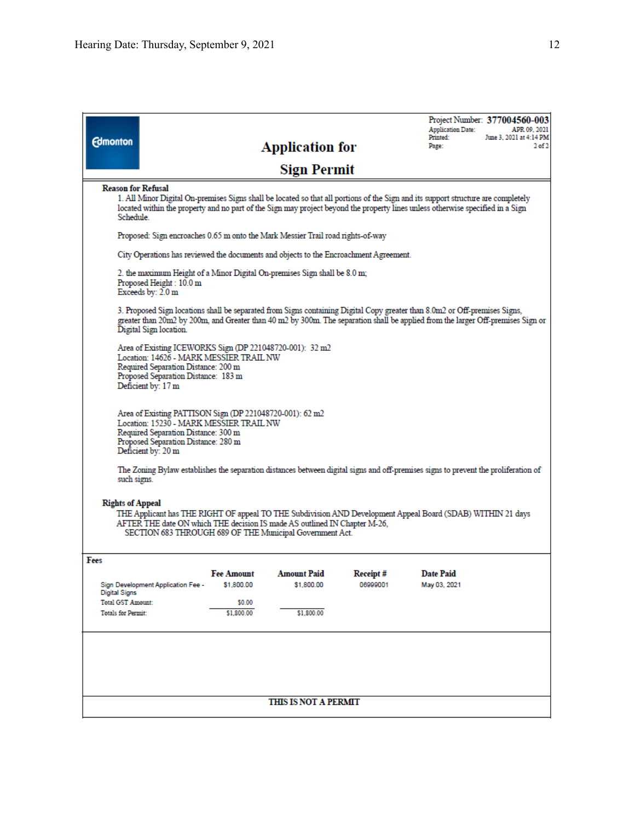| <b>Edmonton</b>                                                                                                                                                                                                                                                                 |                                                                                                                                                                                                         |                                 | <b>Application for</b><br><b>Sign Permit</b>                                          |                      | <b>Application Date:</b><br>Printed:<br>Page:                                                                                                                                                                                                                 | Project Number: 377004560-003<br>APR 09, 2021<br>June 3, 2021 at 4:14 PM<br>$2$ of $2$ |
|---------------------------------------------------------------------------------------------------------------------------------------------------------------------------------------------------------------------------------------------------------------------------------|---------------------------------------------------------------------------------------------------------------------------------------------------------------------------------------------------------|---------------------------------|---------------------------------------------------------------------------------------|----------------------|---------------------------------------------------------------------------------------------------------------------------------------------------------------------------------------------------------------------------------------------------------------|----------------------------------------------------------------------------------------|
| <b>Reason for Refusal</b>                                                                                                                                                                                                                                                       |                                                                                                                                                                                                         |                                 |                                                                                       |                      | 1. All Minor Digital On-premises Signs shall be located so that all portions of the Sign and its support structure are completely                                                                                                                             |                                                                                        |
| <b>Schedule</b>                                                                                                                                                                                                                                                                 |                                                                                                                                                                                                         |                                 |                                                                                       |                      | located within the property and no part of the Sign may project beyond the property lines unless otherwise specified in a Sign                                                                                                                                |                                                                                        |
|                                                                                                                                                                                                                                                                                 |                                                                                                                                                                                                         |                                 | Proposed: Sign encroaches 0.65 m onto the Mark Messier Trail road rights-of-way       |                      |                                                                                                                                                                                                                                                               |                                                                                        |
|                                                                                                                                                                                                                                                                                 |                                                                                                                                                                                                         |                                 | City Operations has reviewed the documents and objects to the Encroachment Agreement. |                      |                                                                                                                                                                                                                                                               |                                                                                        |
|                                                                                                                                                                                                                                                                                 | Proposed Height: 10.0 m<br>Exceeds by: 2.0 m                                                                                                                                                            |                                 | 2. the maximum Height of a Minor Digital On-premises Sign shall be 8.0 m;             |                      |                                                                                                                                                                                                                                                               |                                                                                        |
|                                                                                                                                                                                                                                                                                 | Digital Sign location.                                                                                                                                                                                  |                                 |                                                                                       |                      | 3. Proposed Sign locations shall be separated from Signs containing Digital Copy greater than 8.0m2 or Off-premises Signs,<br>greater than 20m2 by 200m, and Greater than 40 m2 by 300m. The separation shall be applied from the larger Off-premises Sign or |                                                                                        |
|                                                                                                                                                                                                                                                                                 | Area of Existing ICEWORKS Sign (DP 221048720-001): 32 m2<br>Location: 14626 - MARK MESSIER TRAIL NW<br>Required Separation Distance: 200 m<br>Proposed Separation Distance: 183 m<br>Deficient by: 17 m |                                 |                                                                                       |                      |                                                                                                                                                                                                                                                               |                                                                                        |
|                                                                                                                                                                                                                                                                                 | Area of Existing PATTISON Sign (DP 221048720-001): 62 m2<br>Location: 15230 - MARK MESSIER TRAIL NW<br>Required Separation Distance: 300 m<br>Proposed Separation Distance: 280 m<br>Deficient by: 20 m |                                 |                                                                                       |                      |                                                                                                                                                                                                                                                               |                                                                                        |
| such signs.                                                                                                                                                                                                                                                                     |                                                                                                                                                                                                         |                                 |                                                                                       |                      | The Zoning Bylaw establishes the separation distances between digital signs and off-premises signs to prevent the proliferation of                                                                                                                            |                                                                                        |
| <b>Rights of Appeal</b><br>THE Applicant has THE RIGHT OF appeal TO THE Subdivision AND Development Appeal Board (SDAB) WITHIN 21 days<br>AFTER THE date ON which THE decision IS made AS outlined IN Chapter M-26,<br>SECTION 683 THROUGH 689 OF THE Municipal Government Act. |                                                                                                                                                                                                         |                                 |                                                                                       |                      |                                                                                                                                                                                                                                                               |                                                                                        |
| Fees                                                                                                                                                                                                                                                                            |                                                                                                                                                                                                         |                                 |                                                                                       |                      |                                                                                                                                                                                                                                                               |                                                                                        |
|                                                                                                                                                                                                                                                                                 | Sign Development Application Fee -                                                                                                                                                                      | <b>Fee Amount</b><br>\$1,800.00 | <b>Amount Paid</b><br>\$1,800.00                                                      | Receipt#<br>06999001 | <b>Date Paid</b><br>May 03, 2021                                                                                                                                                                                                                              |                                                                                        |
| <b>Digital Signs</b><br><b>Total GST Amount:</b>                                                                                                                                                                                                                                |                                                                                                                                                                                                         | \$0.00                          |                                                                                       |                      |                                                                                                                                                                                                                                                               |                                                                                        |
| <b>Totals for Permit:</b>                                                                                                                                                                                                                                                       |                                                                                                                                                                                                         | \$1,800.00                      | \$1,800.00                                                                            |                      |                                                                                                                                                                                                                                                               |                                                                                        |
|                                                                                                                                                                                                                                                                                 |                                                                                                                                                                                                         |                                 |                                                                                       |                      |                                                                                                                                                                                                                                                               |                                                                                        |
|                                                                                                                                                                                                                                                                                 |                                                                                                                                                                                                         |                                 | THIS IS NOT A PERMIT                                                                  |                      |                                                                                                                                                                                                                                                               |                                                                                        |
|                                                                                                                                                                                                                                                                                 |                                                                                                                                                                                                         |                                 |                                                                                       |                      |                                                                                                                                                                                                                                                               |                                                                                        |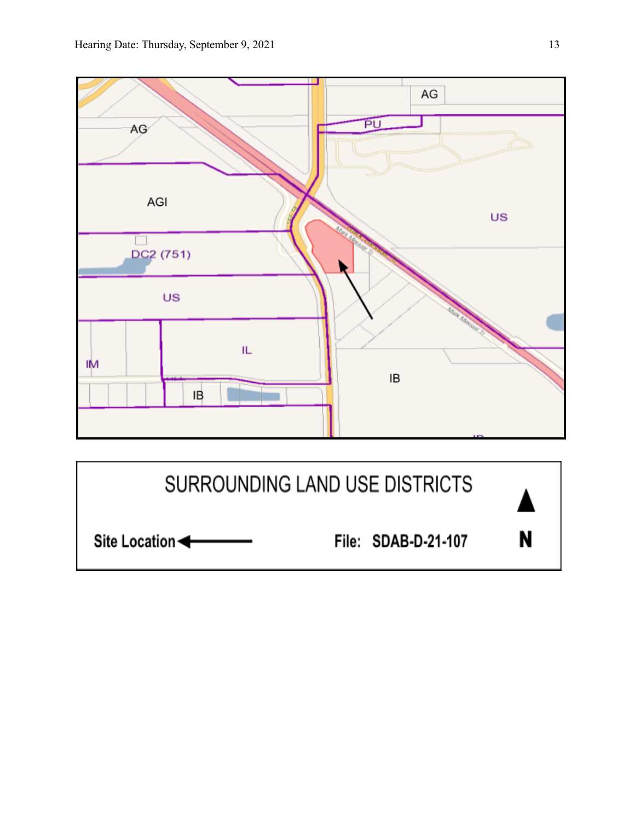

N Site Location File: SDAB-D-21-107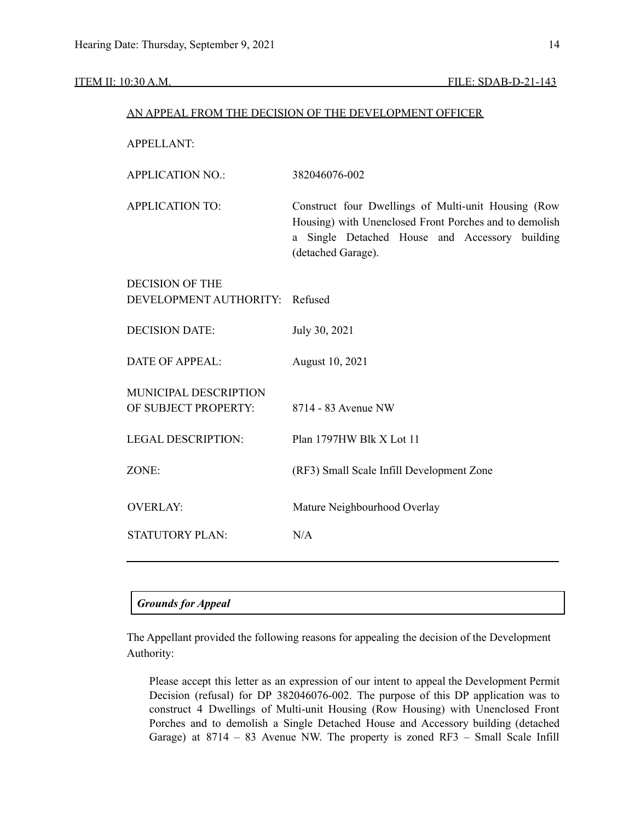#### ITEM II: 10:30 A.M. FILE: SDAB-D-21-143

#### AN APPEAL FROM THE DECISION OF THE DEVELOPMENT OFFICER

APPELLANT:

| <b>APPLICATION NO.:</b>        | 382046076-002                                                                                                                                                                         |  |  |  |  |
|--------------------------------|---------------------------------------------------------------------------------------------------------------------------------------------------------------------------------------|--|--|--|--|
| <b>APPLICATION TO:</b>         | Construct four Dwellings of Multi-unit Housing (Row<br>Housing) with Unenclosed Front Porches and to demolish<br>a Single Detached House and Accessory building<br>(detached Garage). |  |  |  |  |
| <b>DECISION OF THE</b>         |                                                                                                                                                                                       |  |  |  |  |
| DEVELOPMENT AUTHORITY: Refused |                                                                                                                                                                                       |  |  |  |  |
| <b>DECISION DATE:</b>          | July 30, 2021                                                                                                                                                                         |  |  |  |  |
| <b>DATE OF APPEAL:</b>         | August 10, 2021                                                                                                                                                                       |  |  |  |  |
| <b>MUNICIPAL DESCRIPTION</b>   |                                                                                                                                                                                       |  |  |  |  |
| OF SUBJECT PROPERTY:           | 8714 - 83 Avenue NW                                                                                                                                                                   |  |  |  |  |
| <b>LEGAL DESCRIPTION:</b>      | Plan 1797HW Blk X Lot 11                                                                                                                                                              |  |  |  |  |
| ZONE:                          | (RF3) Small Scale Infill Development Zone                                                                                                                                             |  |  |  |  |
| <b>OVERLAY:</b>                | Mature Neighbourhood Overlay                                                                                                                                                          |  |  |  |  |
| <b>STATUTORY PLAN:</b>         | N/A                                                                                                                                                                                   |  |  |  |  |
|                                |                                                                                                                                                                                       |  |  |  |  |

### *Grounds for Appeal*

The Appellant provided the following reasons for appealing the decision of the Development Authority:

Please accept this letter as an expression of our intent to appeal the Development Permit Decision (refusal) for DP 382046076-002. The purpose of this DP application was to construct 4 Dwellings of Multi-unit Housing (Row Housing) with Unenclosed Front Porches and to demolish a Single Detached House and Accessory building (detached Garage) at 8714 – 83 Avenue NW. The property is zoned RF3 – Small Scale Infill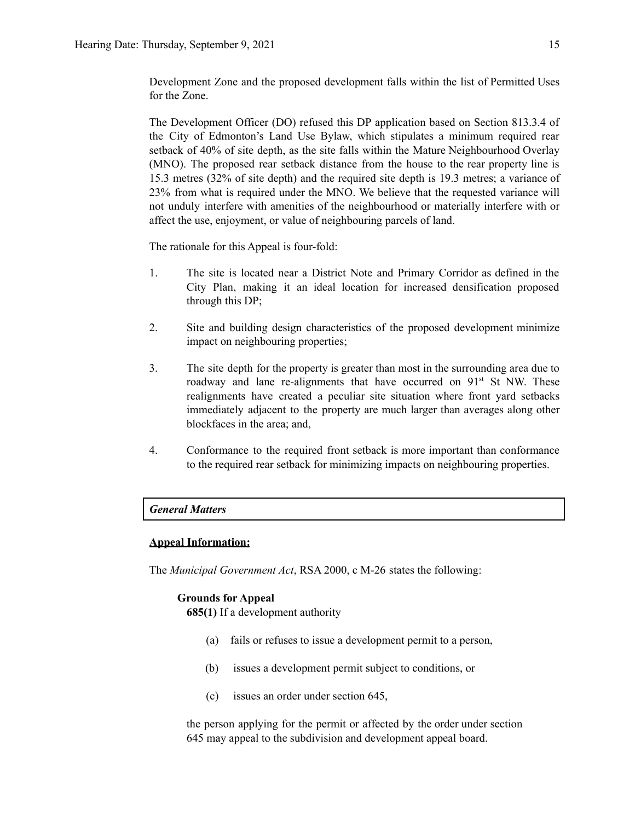Development Zone and the proposed development falls within the list of Permitted Uses for the Zone.

The Development Officer (DO) refused this DP application based on Section 813.3.4 of the City of Edmonton's Land Use Bylaw, which stipulates a minimum required rear setback of 40% of site depth, as the site falls within the Mature Neighbourhood Overlay (MNO). The proposed rear setback distance from the house to the rear property line is 15.3 metres (32% of site depth) and the required site depth is 19.3 metres; a variance of 23% from what is required under the MNO. We believe that the requested variance will not unduly interfere with amenities of the neighbourhood or materially interfere with or affect the use, enjoyment, or value of neighbouring parcels of land.

The rationale for this Appeal is four-fold:

- 1. The site is located near a District Note and Primary Corridor as defined in the City Plan, making it an ideal location for increased densification proposed through this DP;
- 2. Site and building design characteristics of the proposed development minimize impact on neighbouring properties;
- 3. The site depth for the property is greater than most in the surrounding area due to roadway and lane re-alignments that have occurred on 91<sup>st</sup> St NW. These realignments have created a peculiar site situation where front yard setbacks immediately adjacent to the property are much larger than averages along other blockfaces in the area; and,
- 4. Conformance to the required front setback is more important than conformance to the required rear setback for minimizing impacts on neighbouring properties.

#### *General Matters*

#### **Appeal Information:**

The *Municipal Government Act*, RSA 2000, c M-26 states the following:

#### **Grounds for Appeal**

**685(1)** If a development authority

- (a) fails or refuses to issue a development permit to a person,
- (b) issues a development permit subject to conditions, or
- (c) issues an order under section 645,

the person applying for the permit or affected by the order under section 645 may appeal to the subdivision and development appeal board.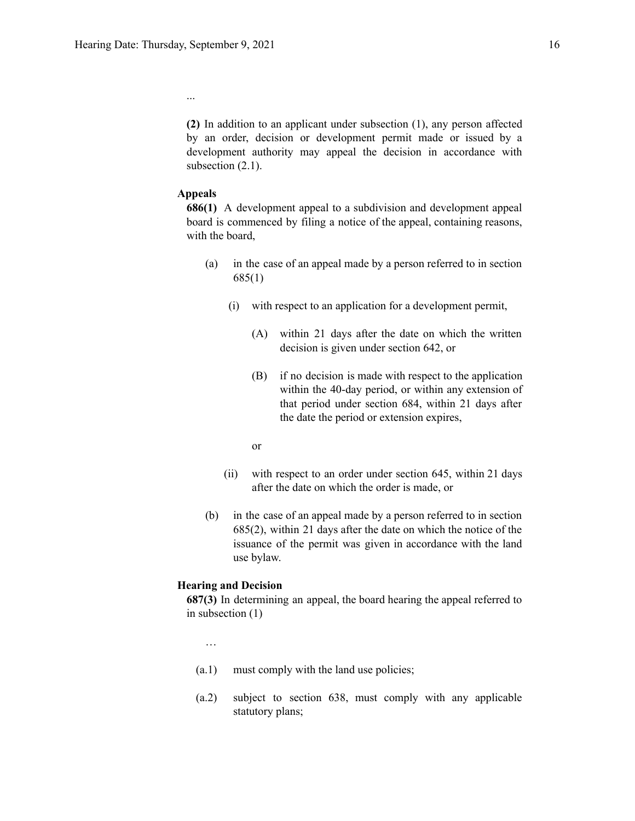...

**(2)** In addition to an applicant under subsection (1), any person affected by an order, decision or development permit made or issued by a development authority may appeal the decision in accordance with subsection  $(2.1)$ .

#### **Appeals**

**686(1)** A development appeal to a subdivision and development appeal board is commenced by filing a notice of the appeal, containing reasons, with the board,

- (a) in the case of an appeal made by a person referred to in section 685(1)
	- (i) with respect to an application for a development permit,
		- (A) within 21 days after the date on which the written decision is given under section 642, or
		- (B) if no decision is made with respect to the application within the 40-day period, or within any extension of that period under section 684, within 21 days after the date the period or extension expires,
		- or
	- (ii) with respect to an order under section 645, within 21 days after the date on which the order is made, or
- (b) in the case of an appeal made by a person referred to in section 685(2), within 21 days after the date on which the notice of the issuance of the permit was given in accordance with the land use bylaw.

#### **Hearing and Decision**

**687(3)** In determining an appeal, the board hearing the appeal referred to in subsection (1)

…

- (a.1) must comply with the land use policies;
- (a.2) subject to section 638, must comply with any applicable statutory plans;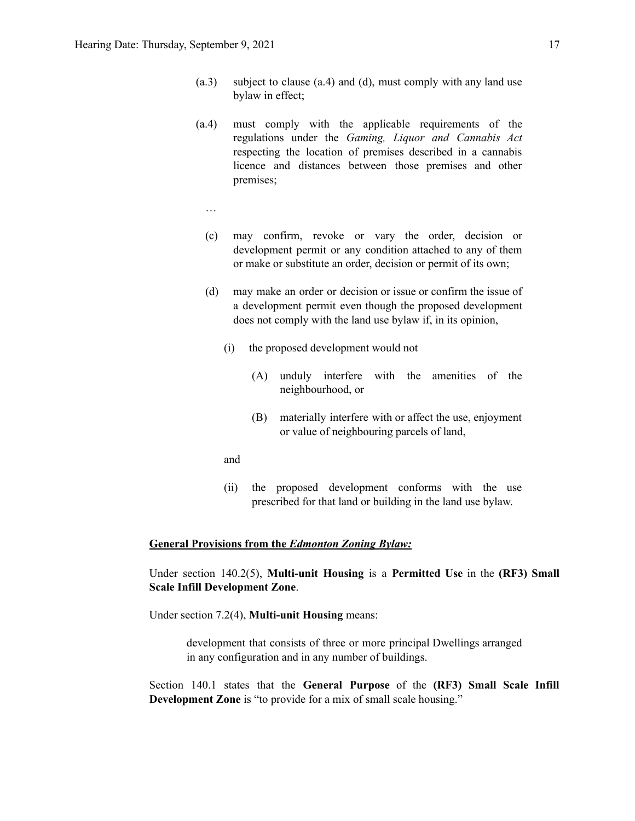- (a.3) subject to clause (a.4) and (d), must comply with any land use bylaw in effect;
- (a.4) must comply with the applicable requirements of the regulations under the *Gaming, Liquor and Cannabis Act* respecting the location of premises described in a cannabis licence and distances between those premises and other premises;
	- …
	- (c) may confirm, revoke or vary the order, decision or development permit or any condition attached to any of them or make or substitute an order, decision or permit of its own;
	- (d) may make an order or decision or issue or confirm the issue of a development permit even though the proposed development does not comply with the land use bylaw if, in its opinion,
		- (i) the proposed development would not
			- (A) unduly interfere with the amenities of the neighbourhood, or
			- (B) materially interfere with or affect the use, enjoyment or value of neighbouring parcels of land,
		- and
		- (ii) the proposed development conforms with the use prescribed for that land or building in the land use bylaw.

#### **General Provisions from the** *Edmonton Zoning Bylaw:*

Under section 140.2(5), **Multi-unit Housing** is a **Permitted Use** in the **(RF3) Small Scale Infill Development Zone**.

Under section 7.2(4), **Multi-unit Housing** means:

development that consists of three or more principal Dwellings arranged in any configuration and in any number of buildings.

Section 140.1 states that the **General Purpose** of the **(RF3) Small Scale Infill Development Zone** is "to provide for a mix of small scale housing."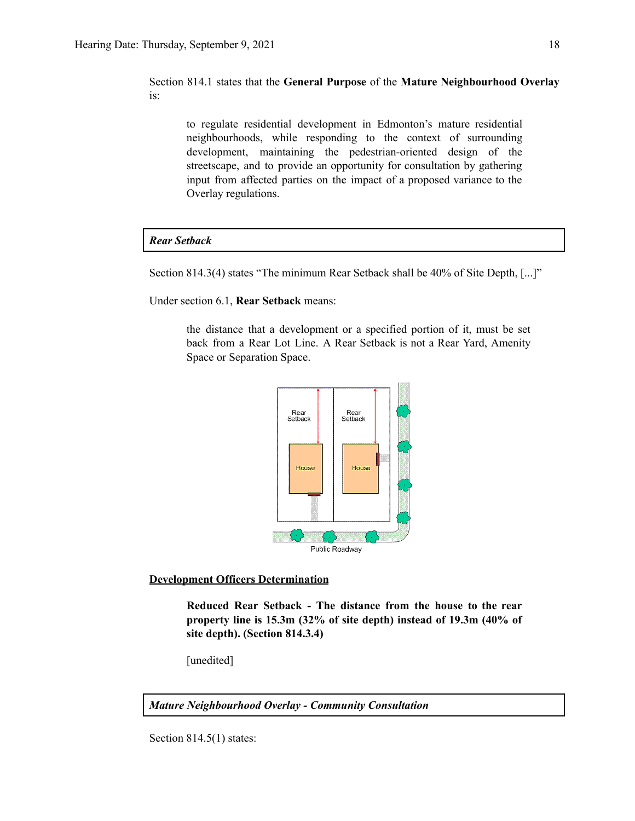Section 814.1 states that the **General Purpose** of the **Mature Neighbourhood Overlay** is:

to regulate residential development in Edmonton's mature residential neighbourhoods, while responding to the context of surrounding development, maintaining the pedestrian-oriented design of the streetscape, and to provide an opportunity for consultation by gathering input from affected parties on the impact of a proposed variance to the Overlay regulations.

#### *Rear Setback*

Section 814.3(4) states "The minimum Rear Setback shall be 40% of Site Depth, [...]"

Under section 6.1, **Rear Setback** means:

the distance that a development or a specified portion of it, must be set back from a Rear Lot Line. A Rear Setback is not a Rear Yard, Amenity Space or Separation Space.



#### **Development Officers Determination**

**Reduced Rear Setback - The distance from the house to the rear property line is 15.3m (32% of site depth) instead of 19.3m (40% of site depth). (Section 814.3.4)**

[unedited]

*Mature Neighbourhood Overlay - Community Consultation*

Section 814.5(1) states: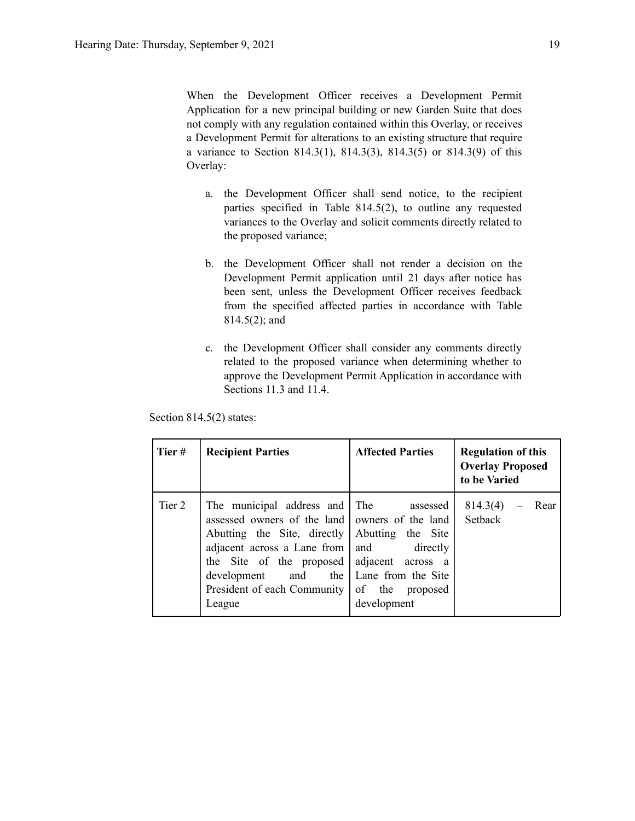When the Development Officer receives a Development Permit Application for a new principal building or new Garden Suite that does not comply with any regulation contained within this Overlay, or receives a Development Permit for alterations to an existing structure that require a variance to Section 814.3(1), 814.3(3), 814.3(5) or 814.3(9) of this Overlay:

- a. the Development Officer shall send notice, to the recipient parties specified in Table 814.5(2), to outline any requested variances to the Overlay and solicit comments directly related to the proposed variance;
- b. the Development Officer shall not render a decision on the Development Permit application until 21 days after notice has been sent, unless the Development Officer receives feedback from the specified affected parties in accordance with Table 814.5(2); and
- c. the Development Officer shall consider any comments directly related to the proposed variance when determining whether to approve the Development Permit Application in accordance with Sections 11.3 and 11.4.

Section 814.5(2) states:

| Tier#  | <b>Recipient Parties</b>                                                                                                                                                                                                                  | <b>Affected Parties</b>                                                                                                           | <b>Regulation of this</b><br><b>Overlay Proposed</b><br>to be Varied |
|--------|-------------------------------------------------------------------------------------------------------------------------------------------------------------------------------------------------------------------------------------------|-----------------------------------------------------------------------------------------------------------------------------------|----------------------------------------------------------------------|
| Tier 2 | The municipal address and The<br>assessed owners of the land   owners of the land  <br>Abutting the Site, directly<br>adjacent across a Lane from<br>the Site of the proposed<br>development and<br>President of each Community<br>League | assessed<br>Abutting the Site<br>directly<br>and<br>adjacent across a<br>the Lane from the Site<br>of the proposed<br>development | 814.3(4)<br>Rear<br>Setback                                          |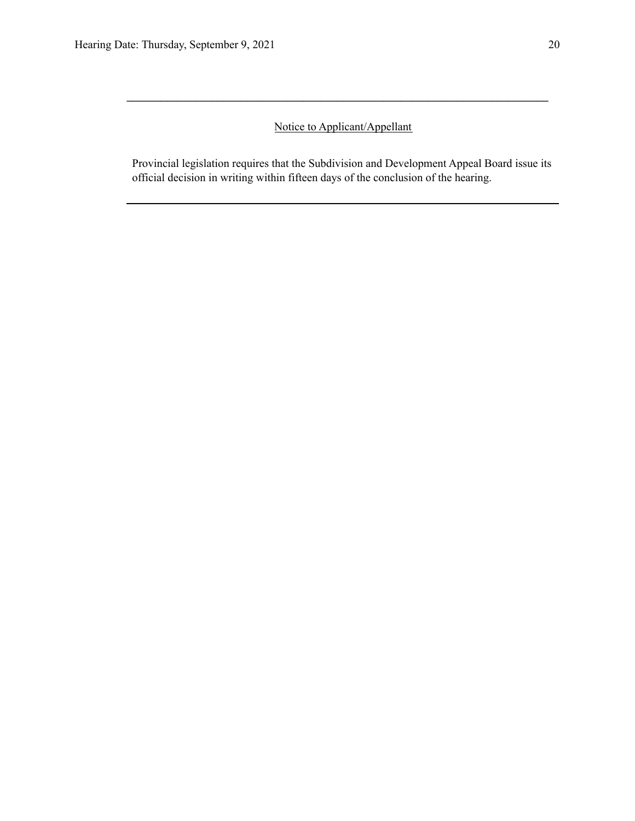# Notice to Applicant/Appellant

**\_\_\_\_\_\_\_\_\_\_\_\_\_\_\_\_\_\_\_\_\_\_\_\_\_\_\_\_\_\_\_\_\_\_\_\_\_\_\_\_\_\_\_\_\_\_\_\_\_\_\_\_\_\_\_\_\_\_\_\_\_\_\_\_\_\_\_\_\_\_\_\_\_\_**

Provincial legislation requires that the Subdivision and Development Appeal Board issue its official decision in writing within fifteen days of the conclusion of the hearing.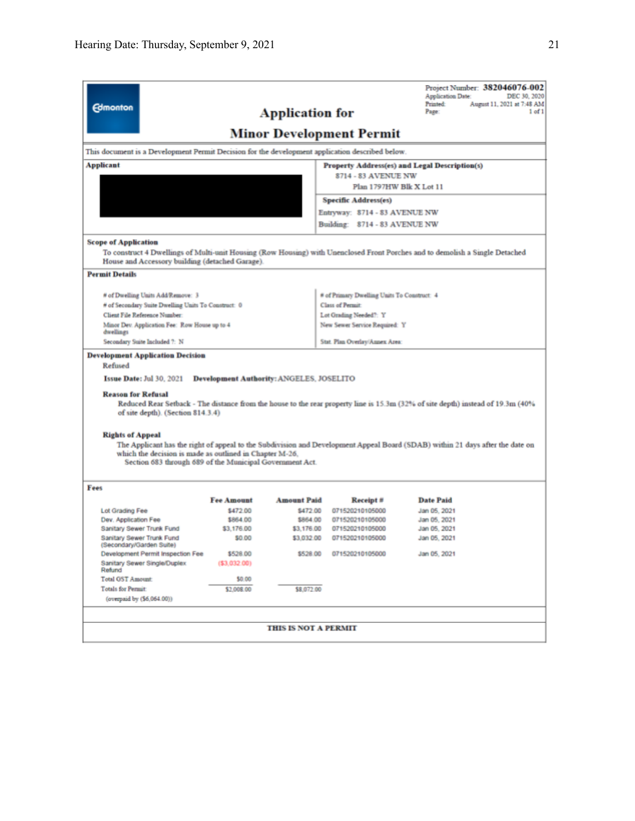| <b>Edmonton</b>                                                                                                                                                                                                                                      |                   | <b>Application for</b>                          |                                                         | Project Number: 382046076-002<br><b>Application Date:</b><br>DEC 30, 2020<br><b>Printed:</b><br>August 11, 2021 at 7:48 AM<br>Page:<br>1 <sub>of</sub> 1 |  |  |
|------------------------------------------------------------------------------------------------------------------------------------------------------------------------------------------------------------------------------------------------------|-------------------|-------------------------------------------------|---------------------------------------------------------|----------------------------------------------------------------------------------------------------------------------------------------------------------|--|--|
|                                                                                                                                                                                                                                                      |                   |                                                 | <b>Minor Development Permit</b>                         |                                                                                                                                                          |  |  |
|                                                                                                                                                                                                                                                      |                   |                                                 |                                                         |                                                                                                                                                          |  |  |
| This document is a Development Permit Decision for the development application described below.                                                                                                                                                      |                   |                                                 |                                                         |                                                                                                                                                          |  |  |
| Applicant                                                                                                                                                                                                                                            |                   |                                                 |                                                         | Property Address(es) and Legal Description(s)                                                                                                            |  |  |
|                                                                                                                                                                                                                                                      |                   |                                                 | 8714 - 83 AVENUE NW                                     |                                                                                                                                                          |  |  |
|                                                                                                                                                                                                                                                      |                   |                                                 | Plan 1797HW Blk X Lot 11                                |                                                                                                                                                          |  |  |
|                                                                                                                                                                                                                                                      |                   |                                                 | Specific Address(es)                                    |                                                                                                                                                          |  |  |
|                                                                                                                                                                                                                                                      |                   |                                                 | Entryway: 8714 - 83 AVENUE NW                           |                                                                                                                                                          |  |  |
|                                                                                                                                                                                                                                                      |                   |                                                 | Building: 8714 - 83 AVENUE NW                           |                                                                                                                                                          |  |  |
| <b>Scope of Application</b>                                                                                                                                                                                                                          |                   |                                                 |                                                         |                                                                                                                                                          |  |  |
|                                                                                                                                                                                                                                                      |                   |                                                 |                                                         | To construct 4 Dwellings of Multi-unit Housing (Row Housing) with Unenclosed Front Porches and to demolish a Single Detached                             |  |  |
| House and Accessory building (detached Garage).                                                                                                                                                                                                      |                   |                                                 |                                                         |                                                                                                                                                          |  |  |
| <b>Permit Details</b>                                                                                                                                                                                                                                |                   |                                                 |                                                         |                                                                                                                                                          |  |  |
|                                                                                                                                                                                                                                                      |                   |                                                 |                                                         |                                                                                                                                                          |  |  |
| # of Dwelling Units Add/Remove: 3                                                                                                                                                                                                                    |                   |                                                 | # of Primary Dwelling Units To Construct: 4             |                                                                                                                                                          |  |  |
| # of Secondary Suite Dwelling Units To Construct: 0<br>Client File Reference Number.                                                                                                                                                                 |                   |                                                 | Class of Permit                                         |                                                                                                                                                          |  |  |
| Minor Dev. Application Fee: Row House up to 4                                                                                                                                                                                                        |                   |                                                 | Lot Grading Needed?: Y<br>New Sewer Service Required: Y |                                                                                                                                                          |  |  |
| dwellings                                                                                                                                                                                                                                            |                   |                                                 |                                                         |                                                                                                                                                          |  |  |
| Secondary Suite Included ?: N                                                                                                                                                                                                                        |                   |                                                 | Stat. Plan Overlay/Annex Area:                          |                                                                                                                                                          |  |  |
| <b>Development Application Decision</b>                                                                                                                                                                                                              |                   |                                                 |                                                         |                                                                                                                                                          |  |  |
| Refused                                                                                                                                                                                                                                              |                   |                                                 |                                                         |                                                                                                                                                          |  |  |
| <b>Issue Date: Jul 30, 2021</b>                                                                                                                                                                                                                      |                   | <b>Development Authority: ANGELES, JOSELITO</b> |                                                         |                                                                                                                                                          |  |  |
| <b>Reason for Refusal</b><br>Reduced Rear Setback - The distance from the house to the rear property line is 15.3m (32% of site depth) instead of 19.3m (40%<br>of site depth). (Section 814.3.4)                                                    |                   |                                                 |                                                         |                                                                                                                                                          |  |  |
| <b>Rights of Appeal</b>                                                                                                                                                                                                                              |                   |                                                 |                                                         |                                                                                                                                                          |  |  |
| The Applicant has the right of appeal to the Subdivision and Development Appeal Board (SDAB) within 21 days after the date on<br>which the decision is made as outlined in Chapter M-26,<br>Section 683 through 689 of the Municipal Government Act. |                   |                                                 |                                                         |                                                                                                                                                          |  |  |
| Fees                                                                                                                                                                                                                                                 |                   |                                                 |                                                         |                                                                                                                                                          |  |  |
|                                                                                                                                                                                                                                                      | <b>Fee Amount</b> | <b>Amount Paid</b>                              | Receipt#                                                | <b>Date Paid</b>                                                                                                                                         |  |  |
| Lot Grading Fee                                                                                                                                                                                                                                      | \$472.00          | \$472.00                                        | 071520210105000                                         | Jan 05, 2021                                                                                                                                             |  |  |
| Dev. Application Fee                                                                                                                                                                                                                                 | \$864.00          | \$864.00                                        | 071520210105000                                         | Jan 05, 2021                                                                                                                                             |  |  |
| Sanitary Sewer Trunk Fund                                                                                                                                                                                                                            | \$3,176.00        | \$3,176.00                                      | 071520210105000                                         | Jan 05, 2021                                                                                                                                             |  |  |
| Sanitary Sewer Trunk Fund<br>(Secondary/Garden Suite)                                                                                                                                                                                                | \$0.00            | \$3,032.00                                      | 071520210105000                                         | Jan 05, 2021                                                                                                                                             |  |  |
| Development Permit Inspection Fee                                                                                                                                                                                                                    | \$528.00          |                                                 | \$528.00  071520210105000                               | Jan 05, 2021                                                                                                                                             |  |  |
| Sanitary Sewer Single/Duplex<br>Refund                                                                                                                                                                                                               | ( \$3,032.00)     |                                                 |                                                         |                                                                                                                                                          |  |  |
| <b>Total GST Amount:</b>                                                                                                                                                                                                                             | \$0.00            |                                                 |                                                         |                                                                                                                                                          |  |  |
| <b>Totals for Permit:</b>                                                                                                                                                                                                                            | \$2,008.00        | \$8,072.00                                      |                                                         |                                                                                                                                                          |  |  |
| (overpaid by (\$6,064.00))                                                                                                                                                                                                                           |                   |                                                 |                                                         |                                                                                                                                                          |  |  |
|                                                                                                                                                                                                                                                      |                   |                                                 |                                                         |                                                                                                                                                          |  |  |
|                                                                                                                                                                                                                                                      |                   | <b>THIS IS NOT A PERMIT</b>                     |                                                         |                                                                                                                                                          |  |  |
|                                                                                                                                                                                                                                                      |                   |                                                 |                                                         |                                                                                                                                                          |  |  |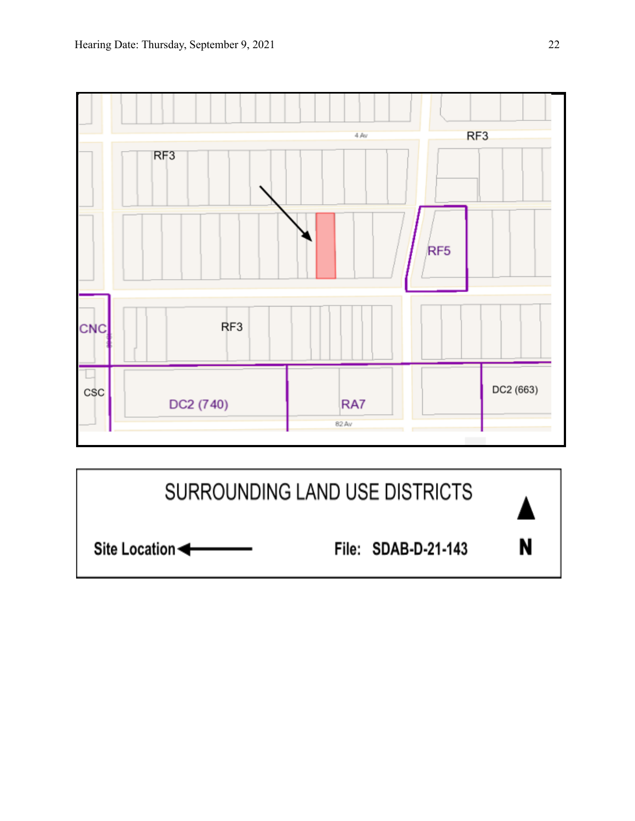

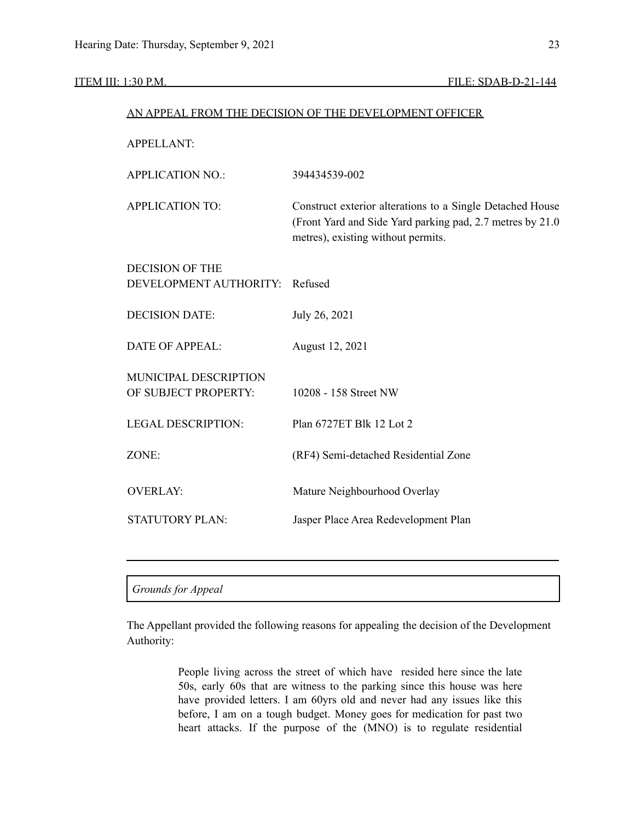### ITEM III: 1:30 P.M. FILE: SDAB-D-21-144

| AN APPEAL FROM THE DECISION OF THE DEVELOPMENT OFFICER |                                                                                                                                                               |  |  |
|--------------------------------------------------------|---------------------------------------------------------------------------------------------------------------------------------------------------------------|--|--|
| <b>APPELLANT:</b>                                      |                                                                                                                                                               |  |  |
| <b>APPLICATION NO.:</b>                                | 394434539-002                                                                                                                                                 |  |  |
| <b>APPLICATION TO:</b>                                 | Construct exterior alterations to a Single Detached House<br>(Front Yard and Side Yard parking pad, 2.7 metres by 21.0)<br>metres), existing without permits. |  |  |
| <b>DECISION OF THE</b>                                 |                                                                                                                                                               |  |  |
| DEVELOPMENT AUTHORITY:                                 | Refused                                                                                                                                                       |  |  |
| <b>DECISION DATE:</b>                                  | July 26, 2021                                                                                                                                                 |  |  |
| <b>DATE OF APPEAL:</b>                                 | August 12, 2021                                                                                                                                               |  |  |
| MUNICIPAL DESCRIPTION<br>OF SUBJECT PROPERTY:          | 10208 - 158 Street NW                                                                                                                                         |  |  |
| <b>LEGAL DESCRIPTION:</b>                              | Plan 6727ET Blk 12 Lot 2                                                                                                                                      |  |  |
| ZONE:                                                  | (RF4) Semi-detached Residential Zone                                                                                                                          |  |  |
| <b>OVERLAY:</b>                                        | Mature Neighbourhood Overlay                                                                                                                                  |  |  |
| <b>STATUTORY PLAN:</b>                                 | Jasper Place Area Redevelopment Plan                                                                                                                          |  |  |
|                                                        |                                                                                                                                                               |  |  |
|                                                        |                                                                                                                                                               |  |  |

#### *Grounds for Appeal*

The Appellant provided the following reasons for appealing the decision of the Development Authority:

> People living across the street of which have resided here since the late 50s, early 60s that are witness to the parking since this house was here have provided letters. I am 60yrs old and never had any issues like this before, I am on a tough budget. Money goes for medication for past two heart attacks. If the purpose of the (MNO) is to regulate residential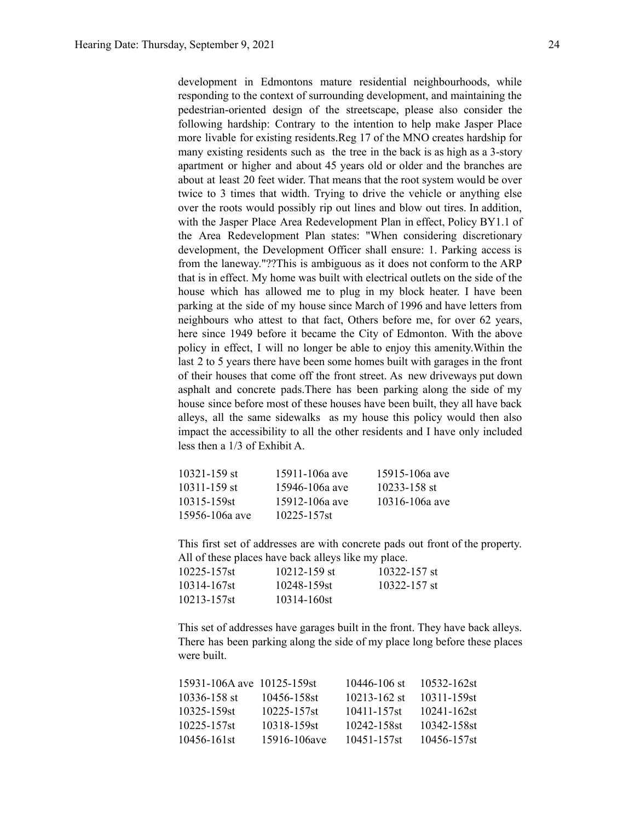development in Edmontons mature residential neighbourhoods, while responding to the context of surrounding development, and maintaining the pedestrian-oriented design of the streetscape, please also consider the following hardship: Contrary to the intention to help make Jasper Place more livable for existing residents.Reg 17 of the MNO creates hardship for many existing residents such as the tree in the back is as high as a 3-story apartment or higher and about 45 years old or older and the branches are about at least 20 feet wider. That means that the root system would be over twice to 3 times that width. Trying to drive the vehicle or anything else over the roots would possibly rip out lines and blow out tires. In addition, with the Jasper Place Area Redevelopment Plan in effect, Policy BY1.1 of the Area Redevelopment Plan states: "When considering discretionary development, the Development Officer shall ensure: 1. Parking access is from the laneway."??This is ambiguous as it does not conform to the ARP that is in effect. My home was built with electrical outlets on the side of the house which has allowed me to plug in my block heater. I have been parking at the side of my house since March of 1996 and have letters from neighbours who attest to that fact, Others before me, for over 62 years, here since 1949 before it became the City of Edmonton. With the above policy in effect, I will no longer be able to enjoy this amenity.Within the last 2 to 5 years there have been some homes built with garages in the front of their houses that come off the front street. As new driveways put down asphalt and concrete pads.There has been parking along the side of my house since before most of these houses have been built, they all have back alleys, all the same sidewalks as my house this policy would then also impact the accessibility to all the other residents and I have only included less then a 1/3 of Exhibit A.

| $10321 - 159$ st | 15911-106a ave   | 15915-106a ave   |
|------------------|------------------|------------------|
| 10311-159 st     | 15946-106a ave   | $10233 - 158$ st |
| 10315-159st      | 15912-106a ave   | 10316-106a ave   |
| 15956-106a ave   | $10225 - 157$ st |                  |

This first set of addresses are with concrete pads out front of the property. All of these places have back alleys like my place.

| 10225-157st | $10212 - 159$ st | $10322 - 157$ st |
|-------------|------------------|------------------|
| 10314-167st | 10248-159st      | $10322 - 157$ st |
| 10213-157st | 10314-160st      |                  |

This set of addresses have garages built in the front. They have back alleys. There has been parking along the side of my place long before these places were built.

| 15931-106A ave 10125-159st |              | 10446-106 st | 10532-162st |
|----------------------------|--------------|--------------|-------------|
| 10336-158 st               | 10456-158st  | 10213-162 st | 10311-159st |
| 10325-159st                | 10225-157st  | 10411-157st  | 10241-162st |
| 10225-157st                | 10318-159st  | 10242-158st  | 10342-158st |
| 10456-161st                | 15916-106ave | 10451-157st  | 10456-157st |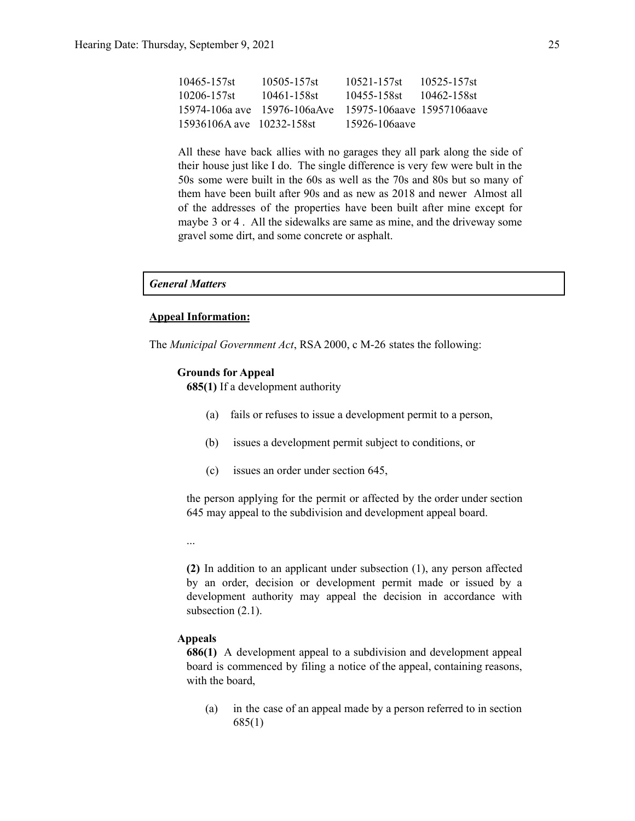| 10465-157st               | 10505-157st                  | 10521-157st                  | 10525-157st |
|---------------------------|------------------------------|------------------------------|-------------|
| 10206-157st               | 10461-158st                  | 10455-158st                  | 10462-158st |
|                           | 15974-106a ave 15976-106aAve | - 15975-106aave 15957106aave |             |
| 15936106A ave 10232-158st |                              | 15926-106aave                |             |

All these have back allies with no garages they all park along the side of their house just like I do. The single difference is very few were bult in the 50s some were built in the 60s as well as the 70s and 80s but so many of them have been built after 90s and as new as 2018 and newer Almost all of the addresses of the properties have been built after mine except for maybe 3 or 4 . All the sidewalks are same as mine, and the driveway some gravel some dirt, and some concrete or asphalt.

#### *General Matters*

#### **Appeal Information:**

The *Municipal Government Act*, RSA 2000, c M-26 states the following:

#### **Grounds for Appeal**

**685(1)** If a development authority

- (a) fails or refuses to issue a development permit to a person,
- (b) issues a development permit subject to conditions, or
- (c) issues an order under section 645,

the person applying for the permit or affected by the order under section 645 may appeal to the subdivision and development appeal board.

...

**(2)** In addition to an applicant under subsection (1), any person affected by an order, decision or development permit made or issued by a development authority may appeal the decision in accordance with subsection  $(2.1)$ .

#### **Appeals**

**686(1)** A development appeal to a subdivision and development appeal board is commenced by filing a notice of the appeal, containing reasons, with the board,

(a) in the case of an appeal made by a person referred to in section 685(1)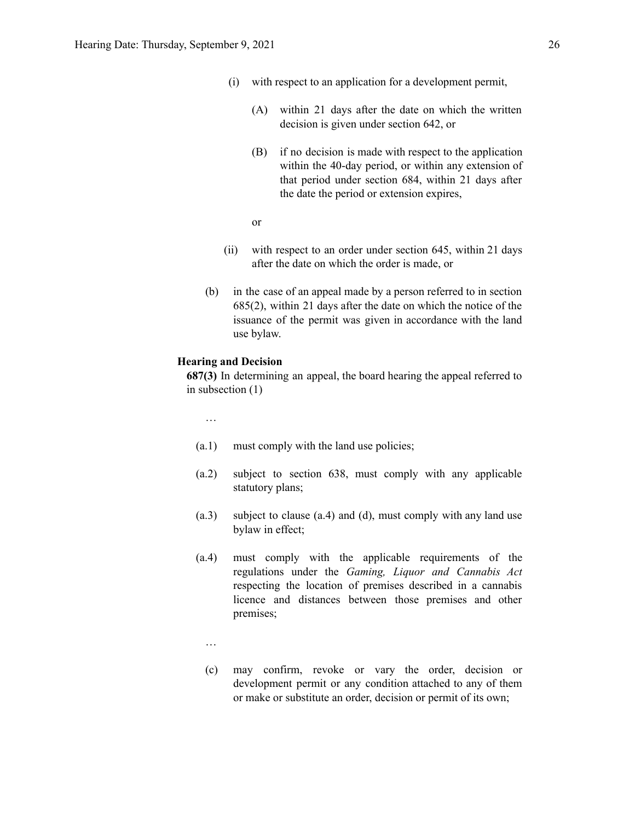- (i) with respect to an application for a development permit,
	- (A) within 21 days after the date on which the written decision is given under section 642, or
	- (B) if no decision is made with respect to the application within the 40-day period, or within any extension of that period under section 684, within 21 days after the date the period or extension expires,

or

- (ii) with respect to an order under section 645, within 21 days after the date on which the order is made, or
- (b) in the case of an appeal made by a person referred to in section 685(2), within 21 days after the date on which the notice of the issuance of the permit was given in accordance with the land use bylaw.

#### **Hearing and Decision**

**687(3)** In determining an appeal, the board hearing the appeal referred to in subsection (1)

…

- (a.1) must comply with the land use policies;
- (a.2) subject to section 638, must comply with any applicable statutory plans;
- (a.3) subject to clause (a.4) and (d), must comply with any land use bylaw in effect;
- (a.4) must comply with the applicable requirements of the regulations under the *Gaming, Liquor and Cannabis Act* respecting the location of premises described in a cannabis licence and distances between those premises and other premises;
	- …
	- (c) may confirm, revoke or vary the order, decision or development permit or any condition attached to any of them or make or substitute an order, decision or permit of its own;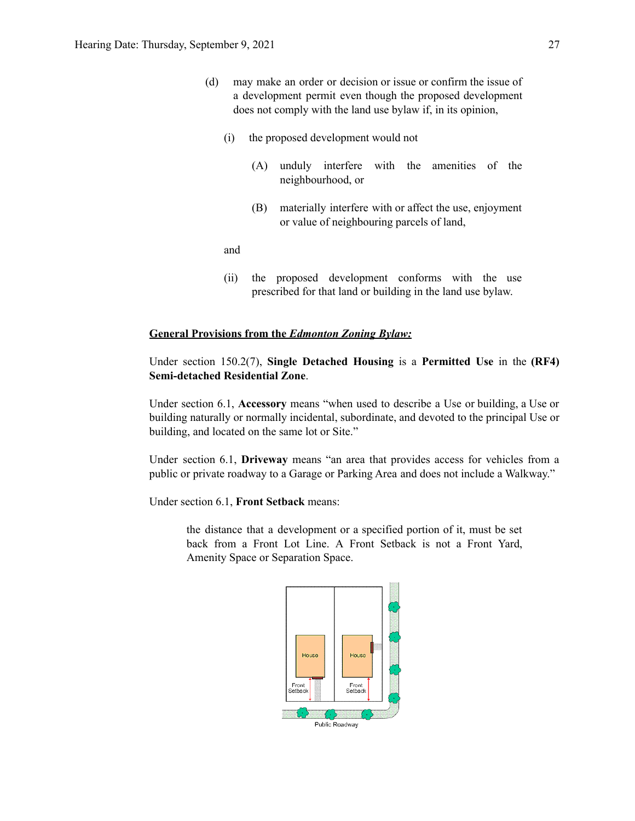- (d) may make an order or decision or issue or confirm the issue of a development permit even though the proposed development does not comply with the land use bylaw if, in its opinion,
	- (i) the proposed development would not
		- (A) unduly interfere with the amenities of the neighbourhood, or
		- (B) materially interfere with or affect the use, enjoyment or value of neighbouring parcels of land,

and

(ii) the proposed development conforms with the use prescribed for that land or building in the land use bylaw.

#### **General Provisions from the** *Edmonton Zoning Bylaw:*

Under section 150.2(7), **Single Detached Housing** is a **Permitted Use** in the **(RF4) Semi-detached Residential Zone**.

Under section 6.1, **Accessory** means "when used to describe a Use or building, a Use or building naturally or normally incidental, subordinate, and devoted to the principal Use or building, and located on the same lot or Site."

Under section 6.1, **Driveway** means "an area that provides access for vehicles from a public or private roadway to a Garage or Parking Area and does not include a Walkway."

Under section 6.1, **Front Setback** means:

the distance that a development or a specified portion of it, must be set back from a Front Lot Line. A Front Setback is not a Front Yard, Amenity Space or Separation Space.

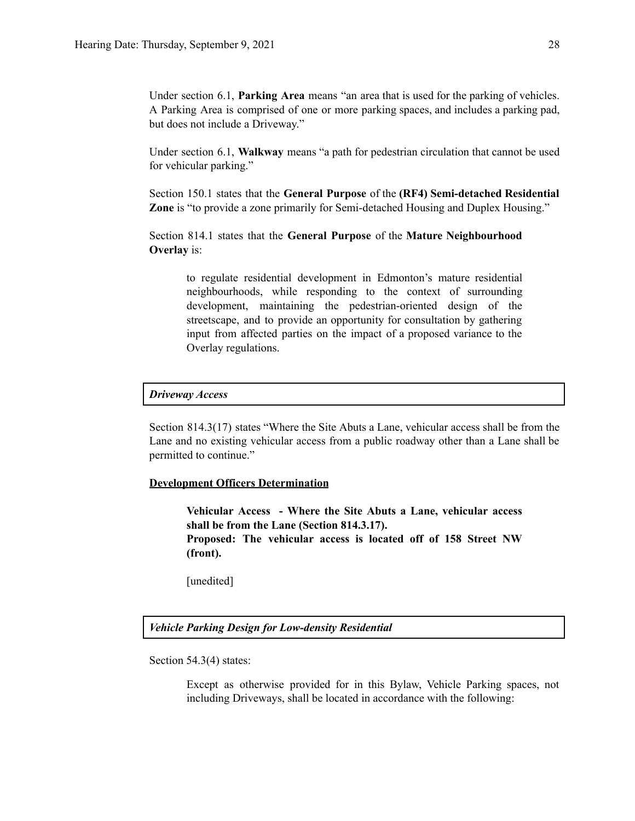Under section 6.1, **Parking Area** means "an area that is used for the parking of vehicles. A Parking Area is comprised of one or more parking spaces, and includes a parking pad, but does not include a Driveway."

Under section 6.1, **Walkway** means "a path for pedestrian circulation that cannot be used for vehicular parking."

Section 150.1 states that the **General Purpose** of the **(RF4) Semi-detached Residential Zone** is "to provide a zone primarily for Semi-detached Housing and Duplex Housing."

Section 814.1 states that the **General Purpose** of the **Mature Neighbourhood Overlay** is:

to regulate residential development in Edmonton's mature residential neighbourhoods, while responding to the context of surrounding development, maintaining the pedestrian-oriented design of the streetscape, and to provide an opportunity for consultation by gathering input from affected parties on the impact of a proposed variance to the Overlay regulations.

#### *Driveway Access*

Section 814.3(17) states "Where the Site Abuts a Lane, vehicular access shall be from the Lane and no existing vehicular access from a public roadway other than a Lane shall be permitted to continue."

#### **Development Officers Determination**

**Vehicular Access - Where the Site Abuts a Lane, vehicular access shall be from the Lane (Section 814.3.17). Proposed: The vehicular access is located off of 158 Street NW (front).**

[unedited]

*Vehicle Parking Design for Low-density Residential*

Section 54.3(4) states:

Except as otherwise provided for in this Bylaw, Vehicle Parking spaces, not including Driveways, shall be located in accordance with the following: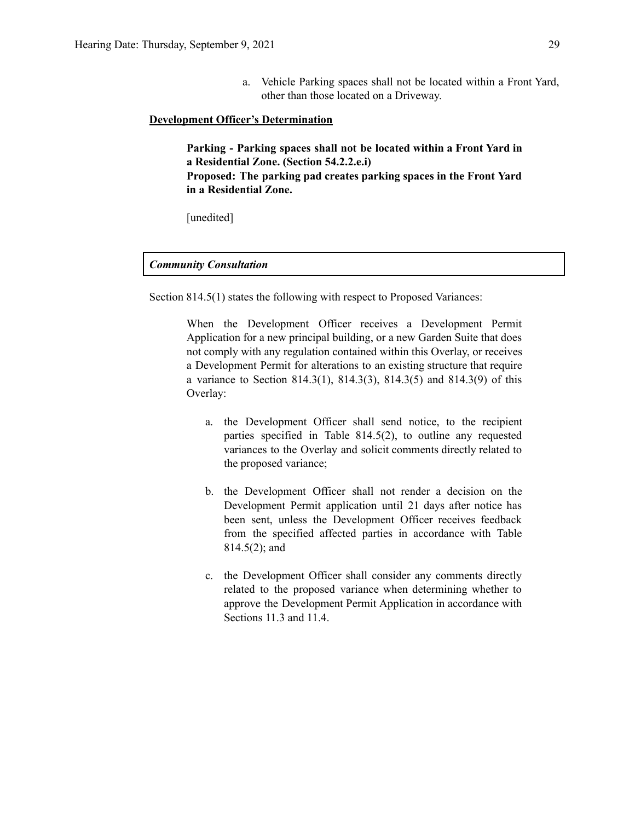a. Vehicle Parking spaces shall not be located within a Front Yard, other than those located on a Driveway.

#### **Development Officer's Determination**

**Parking - Parking spaces shall not be located within a Front Yard in a Residential Zone. (Section 54.2.2.e.i) Proposed: The parking pad creates parking spaces in the Front Yard in a Residential Zone.**

[unedited]

#### *Community Consultation*

Section 814.5(1) states the following with respect to Proposed Variances:

When the Development Officer receives a Development Permit Application for a new principal building, or a new Garden Suite that does not comply with any regulation contained within this Overlay, or receives a Development Permit for alterations to an existing structure that require a variance to Section 814.3(1), 814.3(3), 814.3(5) and 814.3(9) of this Overlay:

- a. the Development Officer shall send notice, to the recipient parties specified in Table 814.5(2), to outline any requested variances to the Overlay and solicit comments directly related to the proposed variance;
- b. the Development Officer shall not render a decision on the Development Permit application until 21 days after notice has been sent, unless the Development Officer receives feedback from the specified affected parties in accordance with Table 814.5(2); and
- c. the Development Officer shall consider any comments directly related to the proposed variance when determining whether to approve the Development Permit Application in accordance with Sections 11.3 and 11.4.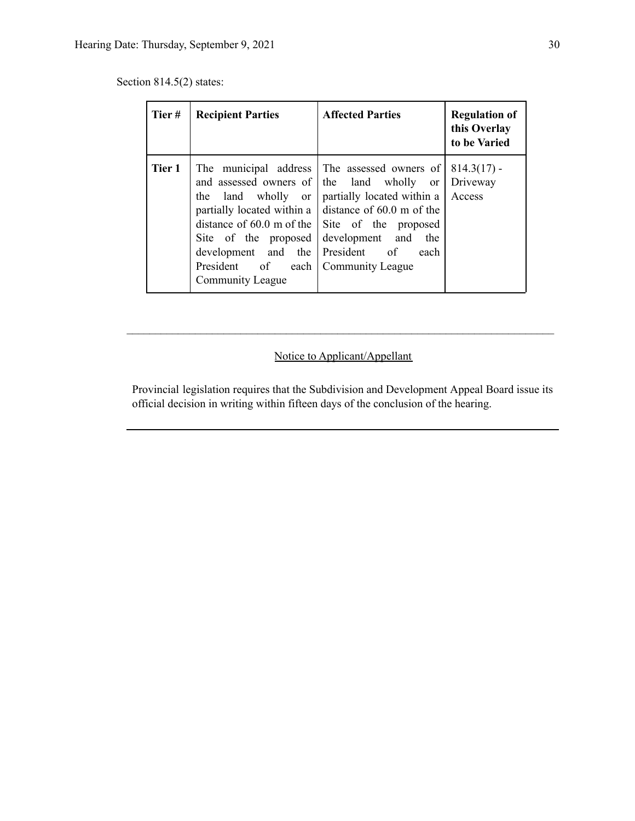Section 814.5(2) states:

| Tier#  | <b>Recipient Parties</b>                                                                                                                                                                   | <b>Affected Parties</b>                                                                                                                                                                                                                           | <b>Regulation of</b><br>this Overlay<br>to be Varied |
|--------|--------------------------------------------------------------------------------------------------------------------------------------------------------------------------------------------|---------------------------------------------------------------------------------------------------------------------------------------------------------------------------------------------------------------------------------------------------|------------------------------------------------------|
| Tier 1 | and assessed owners of the land wholly<br>the land wholly or<br>partially located within a<br>Site of the proposed<br>development and the President of<br>President of<br>Community League | The municipal address The assessed owners of<br><sub>or</sub><br>partially located within a<br>distance of 60.0 m of the<br>distance of $60.0$ m of the $\vert$ Site of the proposed<br>development and<br>the<br>each<br>each   Community League | $814.3(17)$ -<br>Driveway<br>Access                  |

# Notice to Applicant/Appellant

 $\mathcal{L}_\text{max} = \frac{1}{2} \sum_{i=1}^n \mathcal{L}_\text{max} = \frac{1}{2} \sum_{i=1}^n \mathcal{L}_\text{max} = \frac{1}{2} \sum_{i=1}^n \mathcal{L}_\text{max} = \frac{1}{2} \sum_{i=1}^n \mathcal{L}_\text{max} = \frac{1}{2} \sum_{i=1}^n \mathcal{L}_\text{max} = \frac{1}{2} \sum_{i=1}^n \mathcal{L}_\text{max} = \frac{1}{2} \sum_{i=1}^n \mathcal{L}_\text{max} = \frac{1}{2} \sum_{i=$ 

Provincial legislation requires that the Subdivision and Development Appeal Board issue its official decision in writing within fifteen days of the conclusion of the hearing.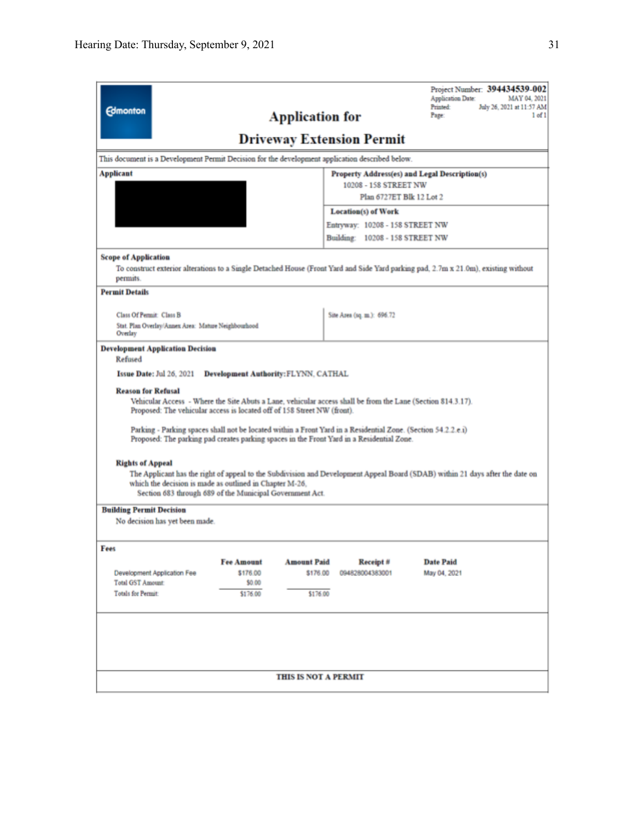| <b>Edmonton</b>                                                                                                                                                                                                                                                                                                                                                                                                                                                                                                                                                                                                                                                                                                                                                                                                                                                             |                               | <b>Application for</b>         | <b>Driveway Extension Permit</b>                                   | Project Number: 394434539-002<br>Application Date:<br>MAY 04, 2021<br>Printed:<br>July 26, 2021 at 11:57 AM<br>$1$ of $1$<br>Page:  |
|-----------------------------------------------------------------------------------------------------------------------------------------------------------------------------------------------------------------------------------------------------------------------------------------------------------------------------------------------------------------------------------------------------------------------------------------------------------------------------------------------------------------------------------------------------------------------------------------------------------------------------------------------------------------------------------------------------------------------------------------------------------------------------------------------------------------------------------------------------------------------------|-------------------------------|--------------------------------|--------------------------------------------------------------------|-------------------------------------------------------------------------------------------------------------------------------------|
| This document is a Development Permit Decision for the development application described below.                                                                                                                                                                                                                                                                                                                                                                                                                                                                                                                                                                                                                                                                                                                                                                             |                               |                                |                                                                    |                                                                                                                                     |
| Applicant                                                                                                                                                                                                                                                                                                                                                                                                                                                                                                                                                                                                                                                                                                                                                                                                                                                                   |                               |                                |                                                                    | Property Address(es) and Legal Description(s)                                                                                       |
|                                                                                                                                                                                                                                                                                                                                                                                                                                                                                                                                                                                                                                                                                                                                                                                                                                                                             | 10208 - 158 STREET NW         |                                |                                                                    |                                                                                                                                     |
|                                                                                                                                                                                                                                                                                                                                                                                                                                                                                                                                                                                                                                                                                                                                                                                                                                                                             |                               |                                | Plan 6727ET Blk 12 Lot 2                                           |                                                                                                                                     |
|                                                                                                                                                                                                                                                                                                                                                                                                                                                                                                                                                                                                                                                                                                                                                                                                                                                                             |                               |                                | <b>Location(s)</b> of Work                                         |                                                                                                                                     |
|                                                                                                                                                                                                                                                                                                                                                                                                                                                                                                                                                                                                                                                                                                                                                                                                                                                                             |                               |                                | Entryway: 10208 - 158 STREET NW<br>Building: 10208 - 158 STREET NW |                                                                                                                                     |
|                                                                                                                                                                                                                                                                                                                                                                                                                                                                                                                                                                                                                                                                                                                                                                                                                                                                             |                               |                                |                                                                    |                                                                                                                                     |
| <b>Scope of Application</b><br>permits.                                                                                                                                                                                                                                                                                                                                                                                                                                                                                                                                                                                                                                                                                                                                                                                                                                     |                               |                                |                                                                    | To construct exterior alterations to a Single Detached House (Front Yard and Side Yard parking pad, 2.7m x 21.0m), existing without |
| <b>Permit Details</b>                                                                                                                                                                                                                                                                                                                                                                                                                                                                                                                                                                                                                                                                                                                                                                                                                                                       |                               |                                |                                                                    |                                                                                                                                     |
| <b>Class Of Permit: Class B</b>                                                                                                                                                                                                                                                                                                                                                                                                                                                                                                                                                                                                                                                                                                                                                                                                                                             |                               |                                | Site Area (sq. m.): 696.72                                         |                                                                                                                                     |
| Stat. Plan Overlay/Annex Area: Mature Neighbourhood<br>Overlay                                                                                                                                                                                                                                                                                                                                                                                                                                                                                                                                                                                                                                                                                                                                                                                                              |                               |                                |                                                                    |                                                                                                                                     |
| <b>Issue Date: Jul 26, 2021</b><br><b>Development Authority: FLYNN, CATHAL</b><br><b>Reason for Refusal</b><br>Vehicular Access - Where the Site Abuts a Lane, vehicular access shall be from the Lane (Section 814.3.17).<br>Proposed: The vehicular access is located off of 158 Street NW (front).<br>Parking - Parking spaces shall not be located within a Front Yard in a Residential Zone. (Section 54.2.2.e.i)<br>Proposed: The parking pad creates parking spaces in the Front Yard in a Residential Zone.<br><b>Rights of Appeal</b><br>The Applicant has the right of appeal to the Subdivision and Development Appeal Board (SDAB) within 21 days after the date on<br>which the decision is made as outlined in Chapter M-26.<br>Section 683 through 689 of the Municipal Government Act.<br><b>Building Permit Decision</b><br>No decision has yet been made. |                               |                                |                                                                    |                                                                                                                                     |
| Fees                                                                                                                                                                                                                                                                                                                                                                                                                                                                                                                                                                                                                                                                                                                                                                                                                                                                        |                               |                                |                                                                    |                                                                                                                                     |
| Development Application Fee                                                                                                                                                                                                                                                                                                                                                                                                                                                                                                                                                                                                                                                                                                                                                                                                                                                 | <b>Fee Amount</b><br>\$176.00 | <b>Amount Paid</b><br>\$176.00 | Receipt#<br>094828004383001                                        | <b>Date Paid</b><br>May 04, 2021                                                                                                    |
| <b>Total GST Amount:</b>                                                                                                                                                                                                                                                                                                                                                                                                                                                                                                                                                                                                                                                                                                                                                                                                                                                    | \$0.00                        |                                |                                                                    |                                                                                                                                     |
| Totals for Permit:                                                                                                                                                                                                                                                                                                                                                                                                                                                                                                                                                                                                                                                                                                                                                                                                                                                          | \$176.00                      | \$176.00                       |                                                                    |                                                                                                                                     |
|                                                                                                                                                                                                                                                                                                                                                                                                                                                                                                                                                                                                                                                                                                                                                                                                                                                                             |                               |                                |                                                                    |                                                                                                                                     |
|                                                                                                                                                                                                                                                                                                                                                                                                                                                                                                                                                                                                                                                                                                                                                                                                                                                                             |                               | THIS IS NOT A PERMIT           |                                                                    |                                                                                                                                     |